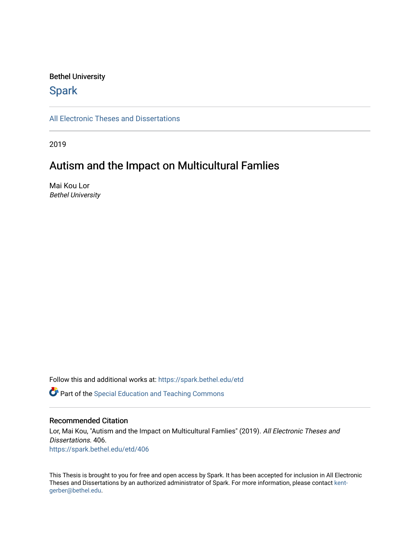### Bethel University

# **Spark**

[All Electronic Theses and Dissertations](https://spark.bethel.edu/etd) 

2019

# Autism and the Impact on Multicultural Famlies

Mai Kou Lor Bethel University

Follow this and additional works at: [https://spark.bethel.edu/etd](https://spark.bethel.edu/etd?utm_source=spark.bethel.edu%2Fetd%2F406&utm_medium=PDF&utm_campaign=PDFCoverPages) **P** Part of the Special Education and Teaching Commons

#### Recommended Citation

Lor, Mai Kou, "Autism and the Impact on Multicultural Famlies" (2019). All Electronic Theses and Dissertations. 406. [https://spark.bethel.edu/etd/406](https://spark.bethel.edu/etd/406?utm_source=spark.bethel.edu%2Fetd%2F406&utm_medium=PDF&utm_campaign=PDFCoverPages)

This Thesis is brought to you for free and open access by Spark. It has been accepted for inclusion in All Electronic Theses and Dissertations by an authorized administrator of Spark. For more information, please contact [kent](mailto:kent-gerber@bethel.edu)[gerber@bethel.edu.](mailto:kent-gerber@bethel.edu)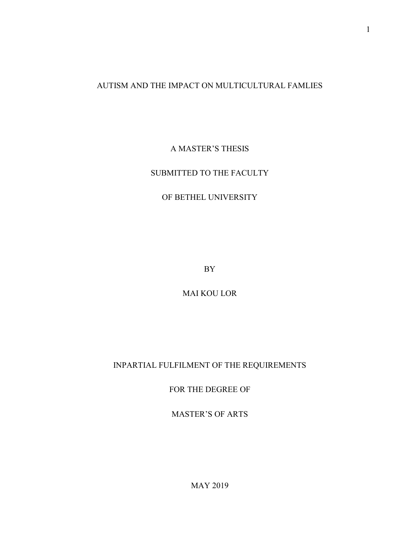## AUTISM AND THE IMPACT ON MULTICULTURAL FAMLIES

# A MASTER'S THESIS

## SUBMITTED TO THE FACULTY

# OF BETHEL UNIVERSITY

BY

MAI KOU LOR

INPARTIAL FULFILMENT OF THE REQUIREMENTS

FOR THE DEGREE OF

MASTER'S OF ARTS

MAY 2019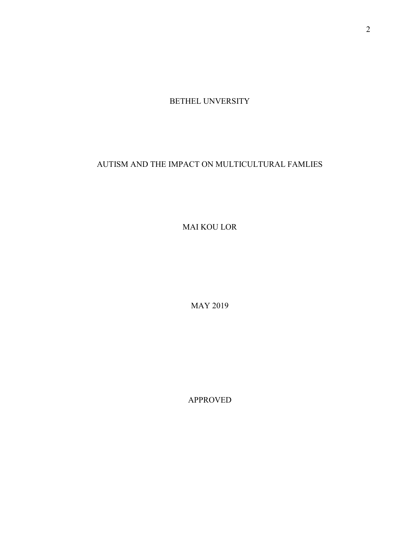BETHEL UNVERSITY

AUTISM AND THE IMPACT ON MULTICULTURAL FAMLIES

MAI KOU LOR

MAY 2019

APPROVED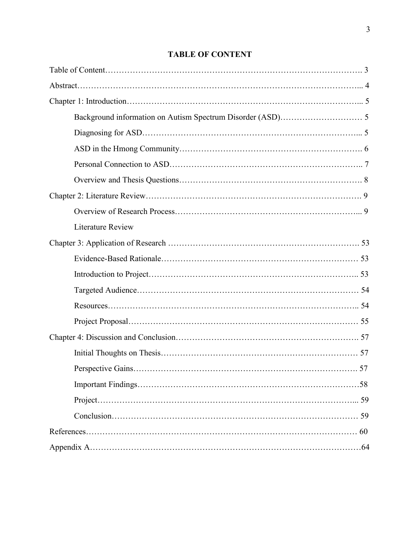# **TABLE OF CONTENT**

| <b>Literature Review</b> |    |
|--------------------------|----|
|                          |    |
|                          |    |
|                          |    |
|                          |    |
|                          |    |
|                          |    |
|                          |    |
|                          |    |
|                          |    |
|                          |    |
|                          | 59 |
|                          | 59 |
|                          |    |
|                          |    |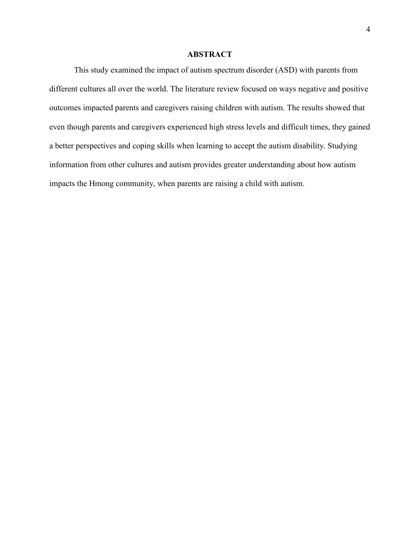## **ABSTRACT**

This study examined the impact of autism spectrum disorder (ASD) with parents from different cultures all over the world. The literature review focused on ways negative and positive outcomes impacted parents and caregivers raising children with autism. The results showed that even though parents and caregivers experienced high stress levels and difficult times, they gained a better perspectives and coping skills when learning to accept the autism disability. Studying information from other cultures and autism provides greater understanding about how autism impacts the Hmong community, when parents are raising a child with autism.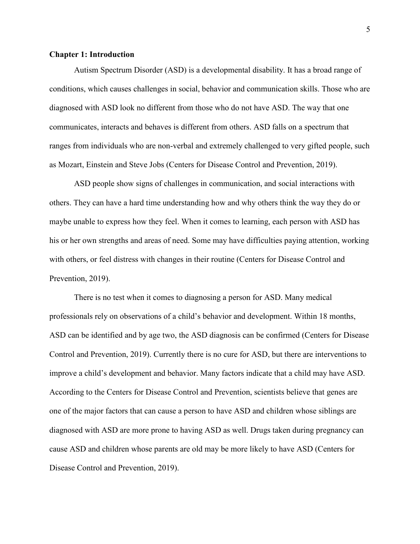#### **Chapter 1: Introduction**

Autism Spectrum Disorder (ASD) is a developmental disability. It has a broad range of conditions, which causes challenges in social, behavior and communication skills. Those who are diagnosed with ASD look no different from those who do not have ASD. The way that one communicates, interacts and behaves is different from others. ASD falls on a spectrum that ranges from individuals who are non-verbal and extremely challenged to very gifted people, such as Mozart, Einstein and Steve Jobs (Centers for Disease Control and Prevention, 2019).

ASD people show signs of challenges in communication, and social interactions with others. They can have a hard time understanding how and why others think the way they do or maybe unable to express how they feel. When it comes to learning, each person with ASD has his or her own strengths and areas of need. Some may have difficulties paying attention, working with others, or feel distress with changes in their routine (Centers for Disease Control and Prevention, 2019).

There is no test when it comes to diagnosing a person for ASD. Many medical professionals rely on observations of a child's behavior and development. Within 18 months, ASD can be identified and by age two, the ASD diagnosis can be confirmed (Centers for Disease Control and Prevention, 2019). Currently there is no cure for ASD, but there are interventions to improve a child's development and behavior. Many factors indicate that a child may have ASD. According to the Centers for Disease Control and Prevention, scientists believe that genes are one of the major factors that can cause a person to have ASD and children whose siblings are diagnosed with ASD are more prone to having ASD as well. Drugs taken during pregnancy can cause ASD and children whose parents are old may be more likely to have ASD (Centers for Disease Control and Prevention, 2019).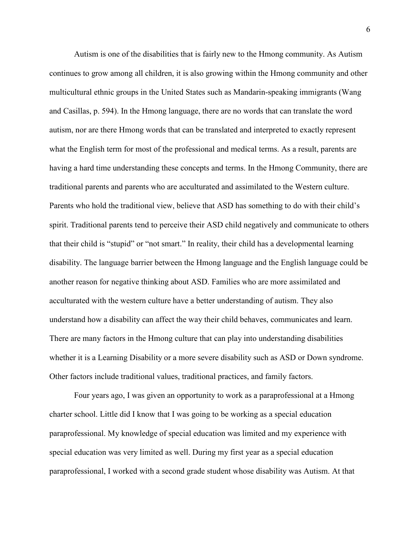Autism is one of the disabilities that is fairly new to the Hmong community. As Autism continues to grow among all children, it is also growing within the Hmong community and other multicultural ethnic groups in the United States such as Mandarin-speaking immigrants (Wang and Casillas, p. 594). In the Hmong language, there are no words that can translate the word autism, nor are there Hmong words that can be translated and interpreted to exactly represent what the English term for most of the professional and medical terms. As a result, parents are having a hard time understanding these concepts and terms. In the Hmong Community, there are traditional parents and parents who are acculturated and assimilated to the Western culture. Parents who hold the traditional view, believe that ASD has something to do with their child's spirit. Traditional parents tend to perceive their ASD child negatively and communicate to others that their child is "stupid" or "not smart." In reality, their child has a developmental learning disability. The language barrier between the Hmong language and the English language could be another reason for negative thinking about ASD. Families who are more assimilated and acculturated with the western culture have a better understanding of autism. They also understand how a disability can affect the way their child behaves, communicates and learn. There are many factors in the Hmong culture that can play into understanding disabilities whether it is a Learning Disability or a more severe disability such as ASD or Down syndrome. Other factors include traditional values, traditional practices, and family factors.

Four years ago, I was given an opportunity to work as a paraprofessional at a Hmong charter school. Little did I know that I was going to be working as a special education paraprofessional. My knowledge of special education was limited and my experience with special education was very limited as well. During my first year as a special education paraprofessional, I worked with a second grade student whose disability was Autism. At that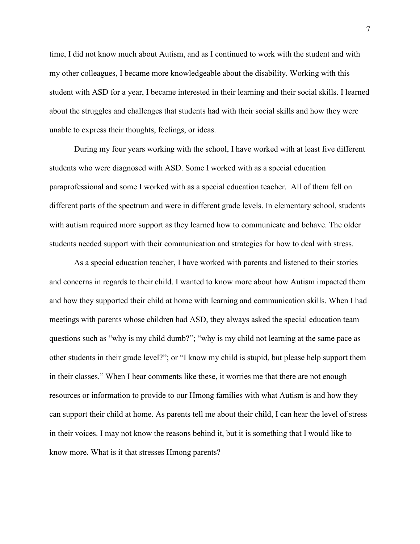time, I did not know much about Autism, and as I continued to work with the student and with my other colleagues, I became more knowledgeable about the disability. Working with this student with ASD for a year, I became interested in their learning and their social skills. I learned about the struggles and challenges that students had with their social skills and how they were unable to express their thoughts, feelings, or ideas.

During my four years working with the school, I have worked with at least five different students who were diagnosed with ASD. Some I worked with as a special education paraprofessional and some I worked with as a special education teacher. All of them fell on different parts of the spectrum and were in different grade levels. In elementary school, students with autism required more support as they learned how to communicate and behave. The older students needed support with their communication and strategies for how to deal with stress.

As a special education teacher, I have worked with parents and listened to their stories and concerns in regards to their child. I wanted to know more about how Autism impacted them and how they supported their child at home with learning and communication skills. When I had meetings with parents whose children had ASD, they always asked the special education team questions such as "why is my child dumb?"; "why is my child not learning at the same pace as other students in their grade level?"; or "I know my child is stupid, but please help support them in their classes." When I hear comments like these, it worries me that there are not enough resources or information to provide to our Hmong families with what Autism is and how they can support their child at home. As parents tell me about their child, I can hear the level of stress in their voices. I may not know the reasons behind it, but it is something that I would like to know more. What is it that stresses Hmong parents?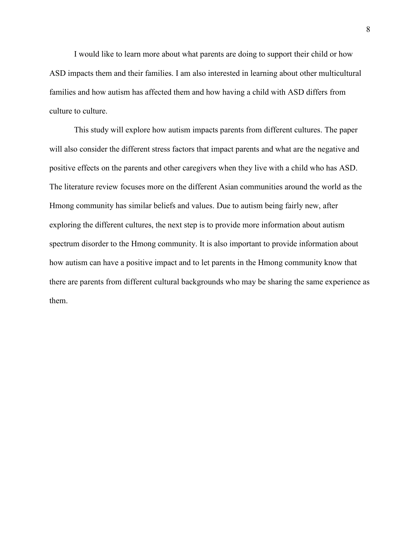I would like to learn more about what parents are doing to support their child or how ASD impacts them and their families. I am also interested in learning about other multicultural families and how autism has affected them and how having a child with ASD differs from culture to culture.

This study will explore how autism impacts parents from different cultures. The paper will also consider the different stress factors that impact parents and what are the negative and positive effects on the parents and other caregivers when they live with a child who has ASD. The literature review focuses more on the different Asian communities around the world as the Hmong community has similar beliefs and values. Due to autism being fairly new, after exploring the different cultures, the next step is to provide more information about autism spectrum disorder to the Hmong community. It is also important to provide information about how autism can have a positive impact and to let parents in the Hmong community know that there are parents from different cultural backgrounds who may be sharing the same experience as them.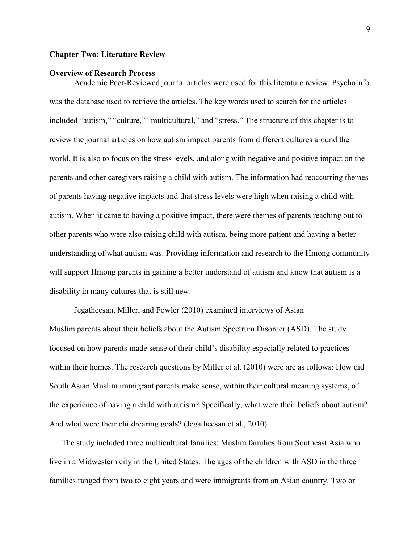#### **Chapter Two: Literature Review**

#### **Overview of Research Process**

Academic Peer-Reviewed journal articles were used for this literature review. PsychoInfo was the database used to retrieve the articles. The key words used to search for the articles included "autism," "culture," "multicultural," and "stress." The structure of this chapter is to review the journal articles on how autism impact parents from different cultures around the world. It is also to focus on the stress levels, and along with negative and positive impact on the parents and other caregivers raising a child with autism. The information had reoccurring themes of parents having negative impacts and that stress levels were high when raising a child with autism. When it came to having a positive impact, there were themes of parents reaching out to other parents who were also raising child with autism, being more patient and having a better understanding of what autism was. Providing information and research to the Hmong community will support Hmong parents in gaining a better understand of autism and know that autism is a disability in many cultures that is still new.

Jegatheesan, Miller, and Fowler (2010) examined interviews of Asian Muslim parents about their beliefs about the Autism Spectrum Disorder (ASD). The study focused on how parents made sense of their child's disability especially related to practices within their homes. The research questions by Miller et al. (2010) were are as follows: How did South Asian Muslim immigrant parents make sense, within their cultural meaning systems, of the experience of having a child with autism? Specifically, what were their beliefs about autism? And what were their childrearing goals? (Jegatheesan et al., 2010).

The study included three multicultural families: Muslim families from Southeast Asia who live in a Midwestern city in the United States. The ages of the children with ASD in the three families ranged from two to eight years and were immigrants from an Asian country. Two or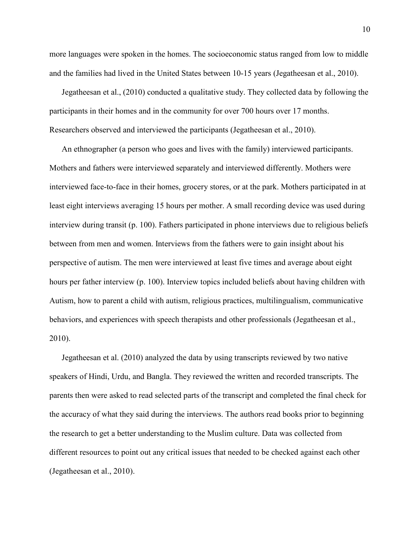more languages were spoken in the homes. The socioeconomic status ranged from low to middle and the families had lived in the United States between 10-15 years (Jegatheesan et al., 2010).

Jegatheesan et al., (2010) conducted a qualitative study. They collected data by following the participants in their homes and in the community for over 700 hours over 17 months. Researchers observed and interviewed the participants (Jegatheesan et al., 2010).

An ethnographer (a person who goes and lives with the family) interviewed participants. Mothers and fathers were interviewed separately and interviewed differently. Mothers were interviewed face-to-face in their homes, grocery stores, or at the park. Mothers participated in at least eight interviews averaging 15 hours per mother. A small recording device was used during interview during transit (p. 100). Fathers participated in phone interviews due to religious beliefs between from men and women. Interviews from the fathers were to gain insight about his perspective of autism. The men were interviewed at least five times and average about eight hours per father interview (p. 100). Interview topics included beliefs about having children with Autism, how to parent a child with autism, religious practices, multilingualism, communicative behaviors, and experiences with speech therapists and other professionals (Jegatheesan et al., 2010).

Jegatheesan et al. (2010) analyzed the data by using transcripts reviewed by two native speakers of Hindi, Urdu, and Bangla. They reviewed the written and recorded transcripts. The parents then were asked to read selected parts of the transcript and completed the final check for the accuracy of what they said during the interviews. The authors read books prior to beginning the research to get a better understanding to the Muslim culture. Data was collected from different resources to point out any critical issues that needed to be checked against each other (Jegatheesan et al., 2010).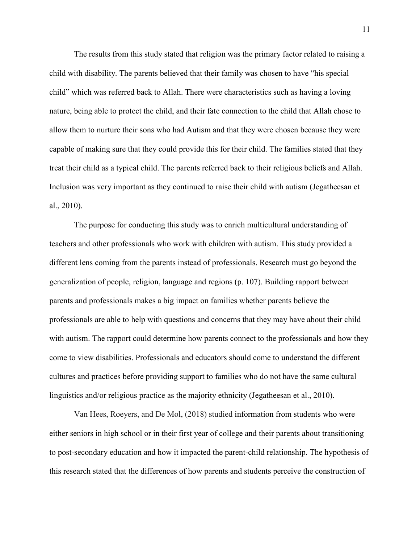The results from this study stated that religion was the primary factor related to raising a child with disability. The parents believed that their family was chosen to have "his special child" which was referred back to Allah. There were characteristics such as having a loving nature, being able to protect the child, and their fate connection to the child that Allah chose to allow them to nurture their sons who had Autism and that they were chosen because they were capable of making sure that they could provide this for their child. The families stated that they treat their child as a typical child. The parents referred back to their religious beliefs and Allah. Inclusion was very important as they continued to raise their child with autism (Jegatheesan et al., 2010).

The purpose for conducting this study was to enrich multicultural understanding of teachers and other professionals who work with children with autism. This study provided a different lens coming from the parents instead of professionals. Research must go beyond the generalization of people, religion, language and regions (p. 107). Building rapport between parents and professionals makes a big impact on families whether parents believe the professionals are able to help with questions and concerns that they may have about their child with autism. The rapport could determine how parents connect to the professionals and how they come to view disabilities. Professionals and educators should come to understand the different cultures and practices before providing support to families who do not have the same cultural linguistics and/or religious practice as the majority ethnicity (Jegatheesan et al., 2010).

Van Hees, Roeyers, and De Mol, (2018) studied information from students who were either seniors in high school or in their first year of college and their parents about transitioning to post-secondary education and how it impacted the parent-child relationship. The hypothesis of this research stated that the differences of how parents and students perceive the construction of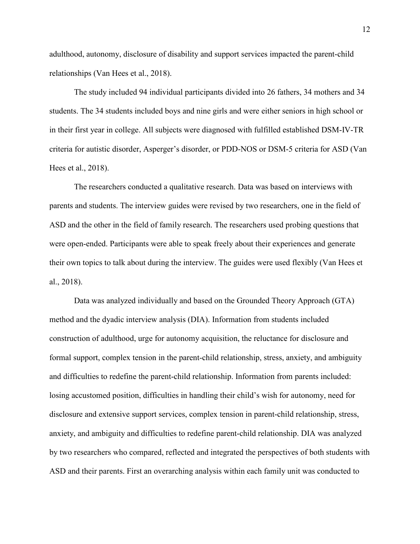adulthood, autonomy, disclosure of disability and support services impacted the parent-child relationships (Van Hees et al., 2018).

The study included 94 individual participants divided into 26 fathers, 34 mothers and 34 students. The 34 students included boys and nine girls and were either seniors in high school or in their first year in college. All subjects were diagnosed with fulfilled established DSM-IV-TR criteria for autistic disorder, Asperger's disorder, or PDD-NOS or DSM-5 criteria for ASD (Van Hees et al., 2018).

The researchers conducted a qualitative research. Data was based on interviews with parents and students. The interview guides were revised by two researchers, one in the field of ASD and the other in the field of family research. The researchers used probing questions that were open-ended. Participants were able to speak freely about their experiences and generate their own topics to talk about during the interview. The guides were used flexibly (Van Hees et al., 2018).

Data was analyzed individually and based on the Grounded Theory Approach (GTA) method and the dyadic interview analysis (DIA). Information from students included construction of adulthood, urge for autonomy acquisition, the reluctance for disclosure and formal support, complex tension in the parent-child relationship, stress, anxiety, and ambiguity and difficulties to redefine the parent-child relationship. Information from parents included: losing accustomed position, difficulties in handling their child's wish for autonomy, need for disclosure and extensive support services, complex tension in parent-child relationship, stress, anxiety, and ambiguity and difficulties to redefine parent-child relationship. DIA was analyzed by two researchers who compared, reflected and integrated the perspectives of both students with ASD and their parents. First an overarching analysis within each family unit was conducted to

12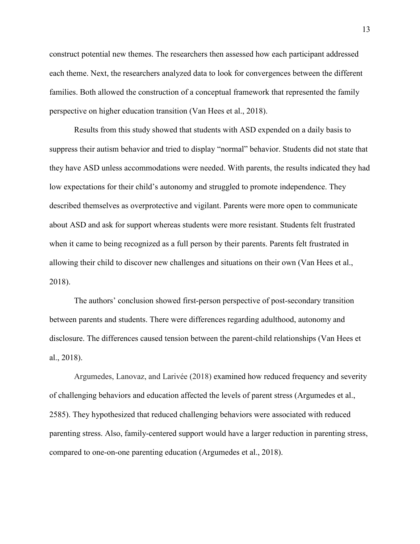construct potential new themes. The researchers then assessed how each participant addressed each theme. Next, the researchers analyzed data to look for convergences between the different families. Both allowed the construction of a conceptual framework that represented the family perspective on higher education transition (Van Hees et al., 2018).

Results from this study showed that students with ASD expended on a daily basis to suppress their autism behavior and tried to display "normal" behavior. Students did not state that they have ASD unless accommodations were needed. With parents, the results indicated they had low expectations for their child's autonomy and struggled to promote independence. They described themselves as overprotective and vigilant. Parents were more open to communicate about ASD and ask for support whereas students were more resistant. Students felt frustrated when it came to being recognized as a full person by their parents. Parents felt frustrated in allowing their child to discover new challenges and situations on their own (Van Hees et al., 2018).

The authors' conclusion showed first-person perspective of post-secondary transition between parents and students. There were differences regarding adulthood, autonomy and disclosure. The differences caused tension between the parent-child relationships (Van Hees et al., 2018).

Argumedes, Lanovaz, and Larivée (2018) examined how reduced frequency and severity of challenging behaviors and education affected the levels of parent stress (Argumedes et al., 2585). They hypothesized that reduced challenging behaviors were associated with reduced parenting stress. Also, family-centered support would have a larger reduction in parenting stress, compared to one-on-one parenting education (Argumedes et al., 2018).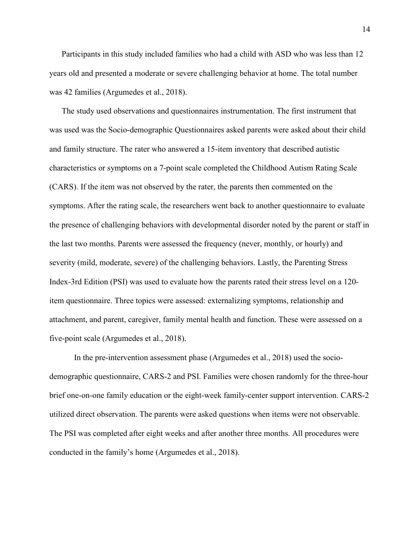Participants in this study included families who had a child with ASD who was less than 12 years old and presented a moderate or severe challenging behavior at home. The total number was 42 families (Argumedes et al., 2018).

The study used observations and questionnaires instrumentation. The first instrument that was used was the Socio-demographic Questionnaires asked parents were asked about their child and family structure. The rater who answered a 15-item inventory that described autistic characteristics or symptoms on a 7-point scale completed the Childhood Autism Rating Scale (CARS). If the item was not observed by the rater, the parents then commented on the symptoms. After the rating scale, the researchers went back to another questionnaire to evaluate the presence of challenging behaviors with developmental disorder noted by the parent or staff in the last two months. Parents were assessed the frequency (never, monthly, or hourly) and severity (mild, moderate, severe) of the challenging behaviors. Lastly, the Parenting Stress Index-3rd Edition (PSI) was used to evaluate how the parents rated their stress level on a 120 item questionnaire. Three topics were assessed: externalizing symptoms, relationship and attachment, and parent, caregiver, family mental health and function. These were assessed on a five-point scale (Argumedes et al., 2018).

In the pre-intervention assessment phase (Argumedes et al., 2018) used the sociodemographic questionnaire, CARS-2 and PSI. Families were chosen randomly for the three-hour brief one-on-one family education or the eight-week family-center support intervention. CARS-2 utilized direct observation. The parents were asked questions when items were not observable. The PSI was completed after eight weeks and after another three months. All procedures were conducted in the family's home (Argumedes et al., 2018).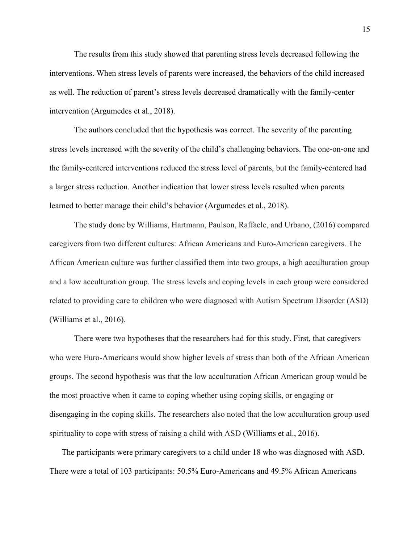The results from this study showed that parenting stress levels decreased following the interventions. When stress levels of parents were increased, the behaviors of the child increased as well. The reduction of parent's stress levels decreased dramatically with the family-center intervention (Argumedes et al., 2018).

The authors concluded that the hypothesis was correct. The severity of the parenting stress levels increased with the severity of the child's challenging behaviors. The one-on-one and the family-centered interventions reduced the stress level of parents, but the family-centered had a larger stress reduction. Another indication that lower stress levels resulted when parents learned to better manage their child's behavior (Argumedes et al., 2018).

 The study done by Williams, Hartmann, Paulson, Raffaele, and Urbano, (2016) compared caregivers from two different cultures: African Americans and Euro-American caregivers. The African American culture was further classified them into two groups, a high acculturation group and a low acculturation group. The stress levels and coping levels in each group were considered related to providing care to children who were diagnosed with Autism Spectrum Disorder (ASD) (Williams et al., 2016).

There were two hypotheses that the researchers had for this study. First, that caregivers who were Euro-Americans would show higher levels of stress than both of the African American groups. The second hypothesis was that the low acculturation African American group would be the most proactive when it came to coping whether using coping skills, or engaging or disengaging in the coping skills. The researchers also noted that the low acculturation group used spirituality to cope with stress of raising a child with ASD (Williams et al., 2016).

The participants were primary caregivers to a child under 18 who was diagnosed with ASD. There were a total of 103 participants: 50.5% Euro-Americans and 49.5% African Americans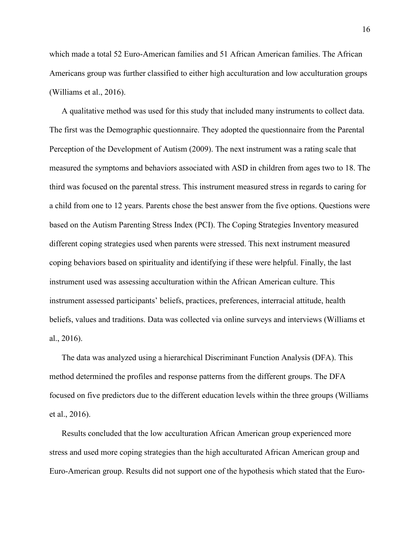which made a total 52 Euro-American families and 51 African American families. The African Americans group was further classified to either high acculturation and low acculturation groups (Williams et al., 2016).

A qualitative method was used for this study that included many instruments to collect data. The first was the Demographic questionnaire. They adopted the questionnaire from the Parental Perception of the Development of Autism (2009). The next instrument was a rating scale that measured the symptoms and behaviors associated with ASD in children from ages two to 18. The third was focused on the parental stress. This instrument measured stress in regards to caring for a child from one to 12 years. Parents chose the best answer from the five options. Questions were based on the Autism Parenting Stress Index (PCI). The Coping Strategies Inventory measured different coping strategies used when parents were stressed. This next instrument measured coping behaviors based on spirituality and identifying if these were helpful. Finally, the last instrument used was assessing acculturation within the African American culture. This instrument assessed participants' beliefs, practices, preferences, interracial attitude, health beliefs, values and traditions. Data was collected via online surveys and interviews (Williams et al., 2016).

The data was analyzed using a hierarchical Discriminant Function Analysis (DFA). This method determined the profiles and response patterns from the different groups. The DFA focused on five predictors due to the different education levels within the three groups (Williams et al., 2016).

Results concluded that the low acculturation African American group experienced more stress and used more coping strategies than the high acculturated African American group and Euro-American group. Results did not support one of the hypothesis which stated that the Euro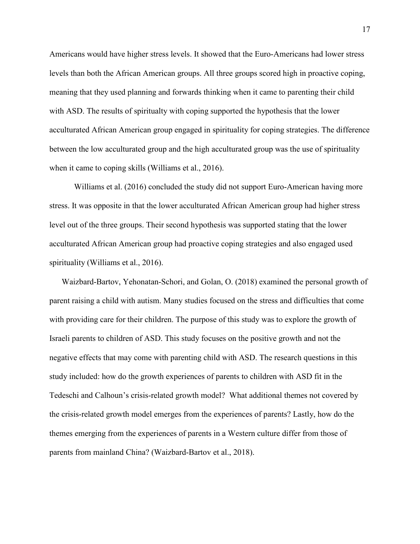Americans would have higher stress levels. It showed that the Euro-Americans had lower stress levels than both the African American groups. All three groups scored high in proactive coping, meaning that they used planning and forwards thinking when it came to parenting their child with ASD. The results of spiritualty with coping supported the hypothesis that the lower acculturated African American group engaged in spirituality for coping strategies. The difference between the low acculturated group and the high acculturated group was the use of spirituality when it came to coping skills (Williams et al., 2016).

 Williams et al. (2016) concluded the study did not support Euro-American having more stress. It was opposite in that the lower acculturated African American group had higher stress level out of the three groups. Their second hypothesis was supported stating that the lower acculturated African American group had proactive coping strategies and also engaged used spirituality (Williams et al., 2016).

Waizbard-Bartov, Yehonatan-Schori, and Golan, O. (2018) examined the personal growth of parent raising a child with autism. Many studies focused on the stress and difficulties that come with providing care for their children. The purpose of this study was to explore the growth of Israeli parents to children of ASD. This study focuses on the positive growth and not the negative effects that may come with parenting child with ASD. The research questions in this study included: how do the growth experiences of parents to children with ASD fit in the Tedeschi and Calhoun's crisis-related growth model? What additional themes not covered by the crisis-related growth model emerges from the experiences of parents? Lastly, how do the themes emerging from the experiences of parents in a Western culture differ from those of parents from mainland China? (Waizbard-Bartov et al., 2018).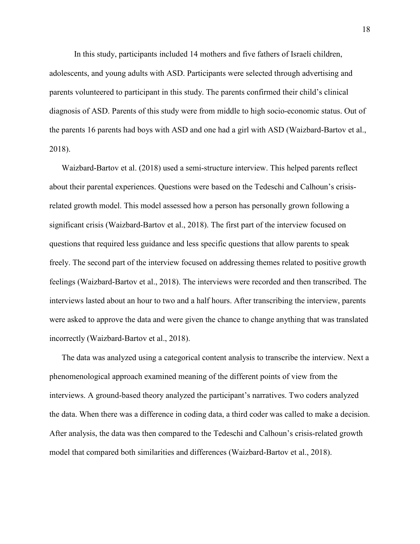In this study, participants included 14 mothers and five fathers of Israeli children, adolescents, and young adults with ASD. Participants were selected through advertising and parents volunteered to participant in this study. The parents confirmed their child's clinical diagnosis of ASD. Parents of this study were from middle to high socio-economic status. Out of the parents 16 parents had boys with ASD and one had a girl with ASD (Waizbard-Bartov et al., 2018).

Waizbard-Bartov et al. (2018) used a semi-structure interview. This helped parents reflect about their parental experiences. Questions were based on the Tedeschi and Calhoun's crisisrelated growth model. This model assessed how a person has personally grown following a significant crisis (Waizbard-Bartov et al., 2018). The first part of the interview focused on questions that required less guidance and less specific questions that allow parents to speak freely. The second part of the interview focused on addressing themes related to positive growth feelings (Waizbard-Bartov et al., 2018). The interviews were recorded and then transcribed. The interviews lasted about an hour to two and a half hours. After transcribing the interview, parents were asked to approve the data and were given the chance to change anything that was translated incorrectly (Waizbard-Bartov et al., 2018).

The data was analyzed using a categorical content analysis to transcribe the interview. Next a phenomenological approach examined meaning of the different points of view from the interviews. A ground-based theory analyzed the participant's narratives. Two coders analyzed the data. When there was a difference in coding data, a third coder was called to make a decision. After analysis, the data was then compared to the Tedeschi and Calhoun's crisis-related growth model that compared both similarities and differences (Waizbard-Bartov et al., 2018).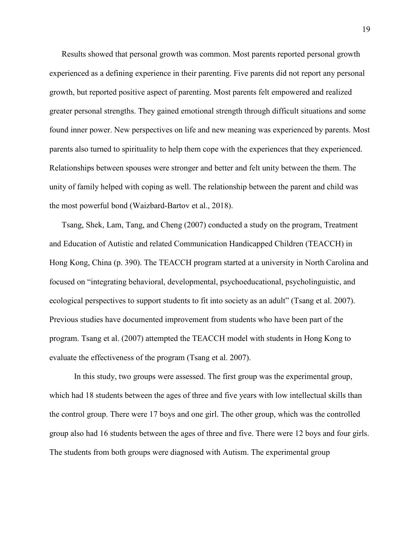Results showed that personal growth was common. Most parents reported personal growth experienced as a defining experience in their parenting. Five parents did not report any personal growth, but reported positive aspect of parenting. Most parents felt empowered and realized greater personal strengths. They gained emotional strength through difficult situations and some found inner power. New perspectives on life and new meaning was experienced by parents. Most parents also turned to spirituality to help them cope with the experiences that they experienced. Relationships between spouses were stronger and better and felt unity between the them. The unity of family helped with coping as well. The relationship between the parent and child was the most powerful bond (Waizbard-Bartov et al., 2018).

Tsang, Shek, Lam, Tang, and Cheng (2007) conducted a study on the program, Treatment and Education of Autistic and related Communication Handicapped Children (TEACCH) in Hong Kong, China (p. 390). The TEACCH program started at a university in North Carolina and focused on "integrating behavioral, developmental, psychoeducational, psycholinguistic, and ecological perspectives to support students to fit into society as an adult" (Tsang et al. 2007). Previous studies have documented improvement from students who have been part of the program. Tsang et al. (2007) attempted the TEACCH model with students in Hong Kong to evaluate the effectiveness of the program (Tsang et al. 2007).

 In this study, two groups were assessed. The first group was the experimental group, which had 18 students between the ages of three and five years with low intellectual skills than the control group. There were 17 boys and one girl. The other group, which was the controlled group also had 16 students between the ages of three and five. There were 12 boys and four girls. The students from both groups were diagnosed with Autism. The experimental group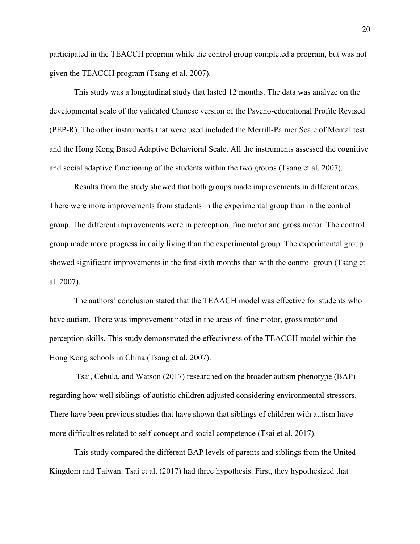participated in the TEACCH program while the control group completed a program, but was not given the TEACCH program (Tsang et al. 2007).

This study was a longitudinal study that lasted 12 months. The data was analyze on the developmental scale of the validated Chinese version of the Psycho-educational Profile Revised (PEP-R). The other instruments that were used included the Merrill-Palmer Scale of Mental test and the Hong Kong Based Adaptive Behavioral Scale. All the instruments assessed the cognitive and social adaptive functioning of the students within the two groups (Tsang et al. 2007).

 Results from the study showed that both groups made improvements in different areas. There were more improvements from students in the experimental group than in the control group. The different improvements were in perception, fine motor and gross motor. The control group made more progress in daily living than the experimental group. The experimental group showed significant improvements in the first sixth months than with the control group (Tsang et al. 2007).

 The authors' conclusion stated that the TEAACH model was effective for students who have autism. There was improvement noted in the areas of fine motor, gross motor and perception skills. This study demonstrated the effectivness of the TEACCH model within the Hong Kong schools in China (Tsang et al. 2007).

 Tsai, Cebula, and Watson (2017) researched on the broader autism phenotype (BAP) regarding how well siblings of autistic children adjusted considering environmental stressors. There have been previous studies that have shown that siblings of children with autism have more difficulties related to self-concept and social competence (Tsai et al. 2017).

 This study compared the different BAP levels of parents and siblings from the United Kingdom and Taiwan. Tsai et al. (2017) had three hypothesis. First, they hypothesized that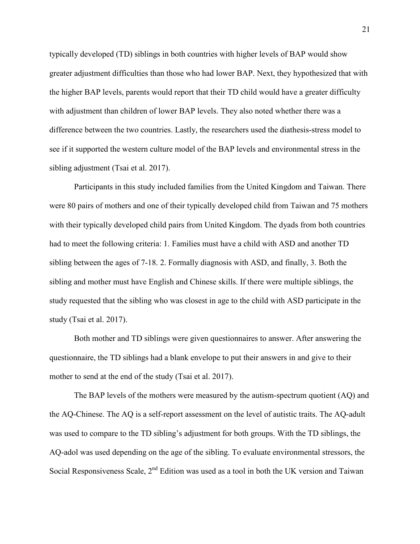typically developed (TD) siblings in both countries with higher levels of BAP would show greater adjustment difficulties than those who had lower BAP. Next, they hypothesized that with the higher BAP levels, parents would report that their TD child would have a greater difficulty with adjustment than children of lower BAP levels. They also noted whether there was a difference between the two countries. Lastly, the researchers used the diathesis-stress model to see if it supported the western culture model of the BAP levels and environmental stress in the sibling adjustment (Tsai et al. 2017).

Participants in this study included families from the United Kingdom and Taiwan. There were 80 pairs of mothers and one of their typically developed child from Taiwan and 75 mothers with their typically developed child pairs from United Kingdom. The dyads from both countries had to meet the following criteria: 1. Families must have a child with ASD and another TD sibling between the ages of 7-18. 2. Formally diagnosis with ASD, and finally, 3. Both the sibling and mother must have English and Chinese skills. If there were multiple siblings, the study requested that the sibling who was closest in age to the child with ASD participate in the study (Tsai et al. 2017).

 Both mother and TD siblings were given questionnaires to answer. After answering the questionnaire, the TD siblings had a blank envelope to put their answers in and give to their mother to send at the end of the study (Tsai et al. 2017).

The BAP levels of the mothers were measured by the autism-spectrum quotient (AQ) and the AQ-Chinese. The AQ is a self-report assessment on the level of autistic traits. The AQ-adult was used to compare to the TD sibling's adjustment for both groups. With the TD siblings, the AQ-adol was used depending on the age of the sibling. To evaluate environmental stressors, the Social Responsiveness Scale,  $2<sup>nd</sup>$  Edition was used as a tool in both the UK version and Taiwan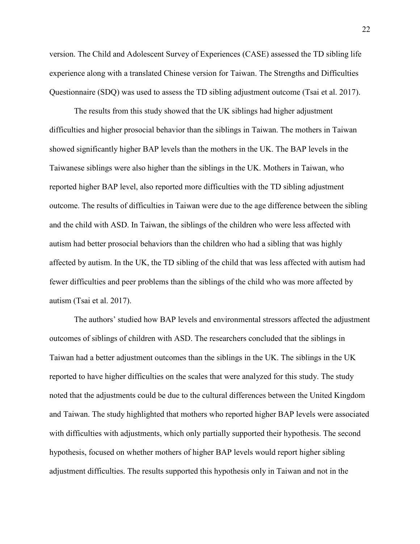version. The Child and Adolescent Survey of Experiences (CASE) assessed the TD sibling life experience along with a translated Chinese version for Taiwan. The Strengths and Difficulties Questionnaire (SDQ) was used to assess the TD sibling adjustment outcome (Tsai et al. 2017).

 The results from this study showed that the UK siblings had higher adjustment difficulties and higher prosocial behavior than the siblings in Taiwan. The mothers in Taiwan showed significantly higher BAP levels than the mothers in the UK. The BAP levels in the Taiwanese siblings were also higher than the siblings in the UK. Mothers in Taiwan, who reported higher BAP level, also reported more difficulties with the TD sibling adjustment outcome. The results of difficulties in Taiwan were due to the age difference between the sibling and the child with ASD. In Taiwan, the siblings of the children who were less affected with autism had better prosocial behaviors than the children who had a sibling that was highly affected by autism. In the UK, the TD sibling of the child that was less affected with autism had fewer difficulties and peer problems than the siblings of the child who was more affected by autism (Tsai et al. 2017).

The authors' studied how BAP levels and environmental stressors affected the adjustment outcomes of siblings of children with ASD. The researchers concluded that the siblings in Taiwan had a better adjustment outcomes than the siblings in the UK. The siblings in the UK reported to have higher difficulties on the scales that were analyzed for this study. The study noted that the adjustments could be due to the cultural differences between the United Kingdom and Taiwan. The study highlighted that mothers who reported higher BAP levels were associated with difficulties with adjustments, which only partially supported their hypothesis. The second hypothesis, focused on whether mothers of higher BAP levels would report higher sibling adjustment difficulties. The results supported this hypothesis only in Taiwan and not in the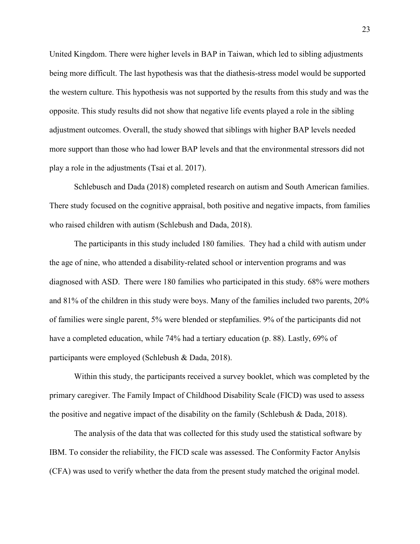United Kingdom. There were higher levels in BAP in Taiwan, which led to sibling adjustments being more difficult. The last hypothesis was that the diathesis-stress model would be supported the western culture. This hypothesis was not supported by the results from this study and was the opposite. This study results did not show that negative life events played a role in the sibling adjustment outcomes. Overall, the study showed that siblings with higher BAP levels needed more support than those who had lower BAP levels and that the environmental stressors did not play a role in the adjustments (Tsai et al. 2017).

 Schlebusch and Dada (2018) completed research on autism and South American families. There study focused on the cognitive appraisal, both positive and negative impacts, from families who raised children with autism (Schlebush and Dada, 2018).

 The participants in this study included 180 families. They had a child with autism under the age of nine, who attended a disability-related school or intervention programs and was diagnosed with ASD. There were 180 families who participated in this study. 68% were mothers and 81% of the children in this study were boys. Many of the families included two parents, 20% of families were single parent, 5% were blended or stepfamilies. 9% of the participants did not have a completed education, while 74% had a tertiary education (p. 88). Lastly, 69% of participants were employed (Schlebush & Dada, 2018).

 Within this study, the participants received a survey booklet, which was completed by the primary caregiver. The Family Impact of Childhood Disability Scale (FICD) was used to assess the positive and negative impact of the disability on the family (Schlebush & Dada, 2018).

The analysis of the data that was collected for this study used the statistical software by IBM. To consider the reliability, the FICD scale was assessed. The Conformity Factor Anylsis (CFA) was used to verify whether the data from the present study matched the original model.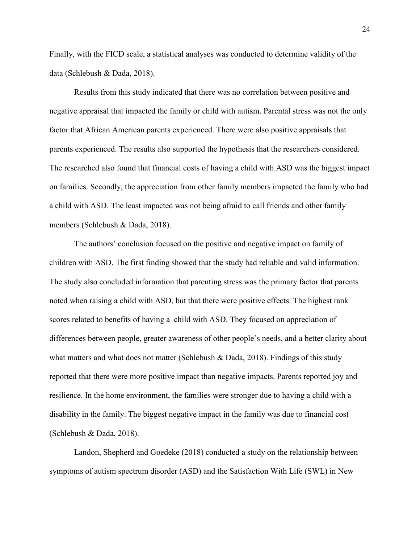Finally, with the FICD scale, a statistical analyses was conducted to determine validity of the data (Schlebush & Dada, 2018).

 Results from this study indicated that there was no correlation between positive and negative appraisal that impacted the family or child with autism. Parental stress was not the only factor that African American parents experienced. There were also positive appraisals that parents experienced. The results also supported the hypothesis that the researchers considered. The researched also found that financial costs of having a child with ASD was the biggest impact on families. Secondly, the appreciation from other family members impacted the family who had a child with ASD. The least impacted was not being afraid to call friends and other family members (Schlebush & Dada, 2018).

 The authors' conclusion focused on the positive and negative impact on family of children with ASD. The first finding showed that the study had reliable and valid information. The study also concluded information that parenting stress was the primary factor that parents noted when raising a child with ASD, but that there were positive effects. The highest rank scores related to benefits of having a child with ASD. They focused on appreciation of differences between people, greater awareness of other people's needs, and a better clarity about what matters and what does not matter (Schlebush & Dada, 2018). Findings of this study reported that there were more positive impact than negative impacts. Parents reported joy and resilience. In the home environment, the families were stronger due to having a child with a disability in the family. The biggest negative impact in the family was due to financial cost (Schlebush & Dada, 2018).

 Landon, Shepherd and Goedeke (2018) conducted a study on the relationship between symptoms of autism spectrum disorder (ASD) and the Satisfaction With Life (SWL) in New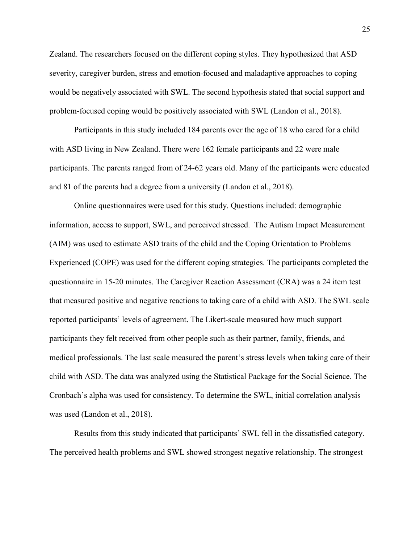Zealand. The researchers focused on the different coping styles. They hypothesized that ASD severity, caregiver burden, stress and emotion-focused and maladaptive approaches to coping would be negatively associated with SWL. The second hypothesis stated that social support and problem-focused coping would be positively associated with SWL (Landon et al., 2018).

 Participants in this study included 184 parents over the age of 18 who cared for a child with ASD living in New Zealand. There were 162 female participants and 22 were male participants. The parents ranged from of 24-62 years old. Many of the participants were educated and 81 of the parents had a degree from a university (Landon et al., 2018).

 Online questionnaires were used for this study. Questions included: demographic information, access to support, SWL, and perceived stressed. The Autism Impact Measurement (AIM) was used to estimate ASD traits of the child and the Coping Orientation to Problems Experienced (COPE) was used for the different coping strategies. The participants completed the questionnaire in 15-20 minutes. The Caregiver Reaction Assessment (CRA) was a 24 item test that measured positive and negative reactions to taking care of a child with ASD. The SWL scale reported participants' levels of agreement. The Likert-scale measured how much support participants they felt received from other people such as their partner, family, friends, and medical professionals. The last scale measured the parent's stress levels when taking care of their child with ASD. The data was analyzed using the Statistical Package for the Social Science. The Cronbach's alpha was used for consistency. To determine the SWL, initial correlation analysis was used (Landon et al., 2018).

Results from this study indicated that participants' SWL fell in the dissatisfied category. The perceived health problems and SWL showed strongest negative relationship. The strongest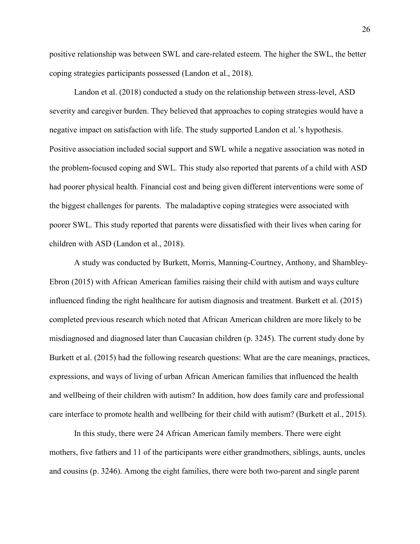positive relationship was between SWL and care-related esteem. The higher the SWL, the better coping strategies participants possessed (Landon et al., 2018).

 Landon et al. (2018) conducted a study on the relationship between stress-level, ASD severity and caregiver burden. They believed that approaches to coping strategies would have a negative impact on satisfaction with life. The study supported Landon et al.'s hypothesis. Positive association included social support and SWL while a negative association was noted in the problem-focused coping and SWL. This study also reported that parents of a child with ASD had poorer physical health. Financial cost and being given different interventions were some of the biggest challenges for parents. The maladaptive coping strategies were associated with poorer SWL. This study reported that parents were dissatisfied with their lives when caring for children with ASD (Landon et al., 2018).

 A study was conducted by Burkett, Morris, Manning-Courtney, Anthony, and Shambley-Ebron (2015) with African American families raising their child with autism and ways culture influenced finding the right healthcare for autism diagnosis and treatment. Burkett et al. (2015) completed previous research which noted that African American children are more likely to be misdiagnosed and diagnosed later than Caucasian children (p. 3245). The current study done by Burkett et al. (2015) had the following research questions: What are the care meanings, practices, expressions, and ways of living of urban African American families that influenced the health and wellbeing of their children with autism? In addition, how does family care and professional care interface to promote health and wellbeing for their child with autism? (Burkett et al., 2015).

In this study, there were 24 African American family members. There were eight mothers, five fathers and 11 of the participants were either grandmothers, siblings, aunts, uncles and cousins (p. 3246). Among the eight families, there were both two-parent and single parent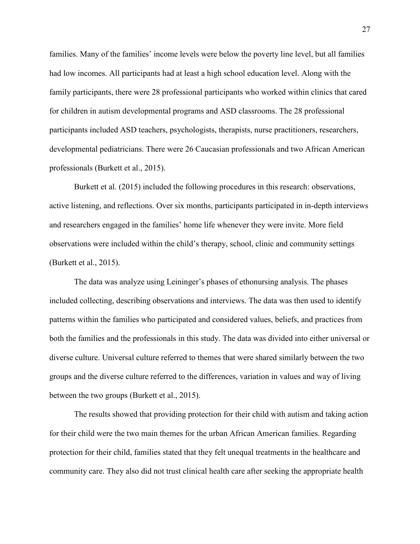families. Many of the families' income levels were below the poverty line level, but all families had low incomes. All participants had at least a high school education level. Along with the family participants, there were 28 professional participants who worked within clinics that cared for children in autism developmental programs and ASD classrooms. The 28 professional participants included ASD teachers, psychologists, therapists, nurse practitioners, researchers, developmental pediatricians. There were 26 Caucasian professionals and two African American professionals (Burkett et al., 2015).

 Burkett et al. (2015) included the following procedures in this research: observations, active listening, and reflections. Over six months, participants participated in in-depth interviews and researchers engaged in the families' home life whenever they were invite. More field observations were included within the child's therapy, school, clinic and community settings (Burkett et al., 2015).

 The data was analyze using Leininger's phases of ethonursing analysis. The phases included collecting, describing observations and interviews. The data was then used to identify patterns within the families who participated and considered values, beliefs, and practices from both the families and the professionals in this study. The data was divided into either universal or diverse culture. Universal culture referred to themes that were shared similarly between the two groups and the diverse culture referred to the differences, variation in values and way of living between the two groups (Burkett et al., 2015).

 The results showed that providing protection for their child with autism and taking action for their child were the two main themes for the urban African American families. Regarding protection for their child, families stated that they felt unequal treatments in the healthcare and community care. They also did not trust clinical health care after seeking the appropriate health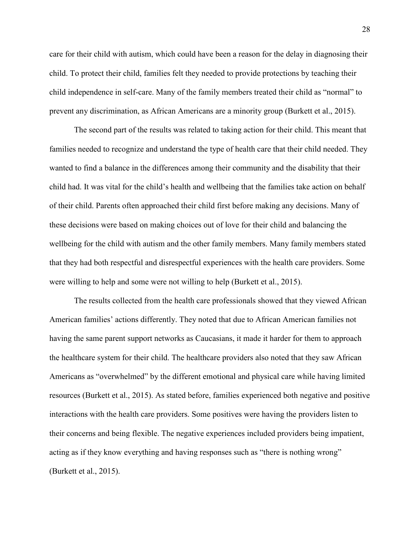care for their child with autism, which could have been a reason for the delay in diagnosing their child. To protect their child, families felt they needed to provide protections by teaching their child independence in self-care. Many of the family members treated their child as "normal" to prevent any discrimination, as African Americans are a minority group (Burkett et al., 2015).

The second part of the results was related to taking action for their child. This meant that families needed to recognize and understand the type of health care that their child needed. They wanted to find a balance in the differences among their community and the disability that their child had. It was vital for the child's health and wellbeing that the families take action on behalf of their child. Parents often approached their child first before making any decisions. Many of these decisions were based on making choices out of love for their child and balancing the wellbeing for the child with autism and the other family members. Many family members stated that they had both respectful and disrespectful experiences with the health care providers. Some were willing to help and some were not willing to help (Burkett et al., 2015).

The results collected from the health care professionals showed that they viewed African American families' actions differently. They noted that due to African American families not having the same parent support networks as Caucasians, it made it harder for them to approach the healthcare system for their child. The healthcare providers also noted that they saw African Americans as "overwhelmed" by the different emotional and physical care while having limited resources (Burkett et al., 2015). As stated before, families experienced both negative and positive interactions with the health care providers. Some positives were having the providers listen to their concerns and being flexible. The negative experiences included providers being impatient, acting as if they know everything and having responses such as "there is nothing wrong" (Burkett et al., 2015).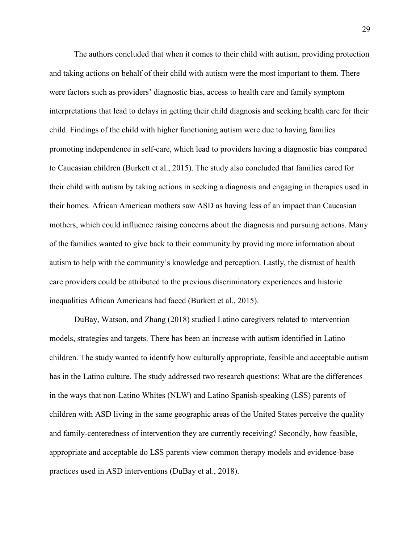The authors concluded that when it comes to their child with autism, providing protection and taking actions on behalf of their child with autism were the most important to them. There were factors such as providers' diagnostic bias, access to health care and family symptom interpretations that lead to delays in getting their child diagnosis and seeking health care for their child. Findings of the child with higher functioning autism were due to having families promoting independence in self-care, which lead to providers having a diagnostic bias compared to Caucasian children (Burkett et al., 2015). The study also concluded that families cared for their child with autism by taking actions in seeking a diagnosis and engaging in therapies used in their homes. African American mothers saw ASD as having less of an impact than Caucasian mothers, which could influence raising concerns about the diagnosis and pursuing actions. Many of the families wanted to give back to their community by providing more information about autism to help with the community's knowledge and perception. Lastly, the distrust of health care providers could be attributed to the previous discriminatory experiences and historic inequalities African Americans had faced (Burkett et al., 2015).

DuBay, Watson, and Zhang (2018) studied Latino caregivers related to intervention models, strategies and targets. There has been an increase with autism identified in Latino children. The study wanted to identify how culturally appropriate, feasible and acceptable autism has in the Latino culture. The study addressed two research questions: What are the differences in the ways that non-Latino Whites (NLW) and Latino Spanish-speaking (LSS) parents of children with ASD living in the same geographic areas of the United States perceive the quality and family-centeredness of intervention they are currently receiving? Secondly, how feasible, appropriate and acceptable do LSS parents view common therapy models and evidence-base practices used in ASD interventions (DuBay et al., 2018).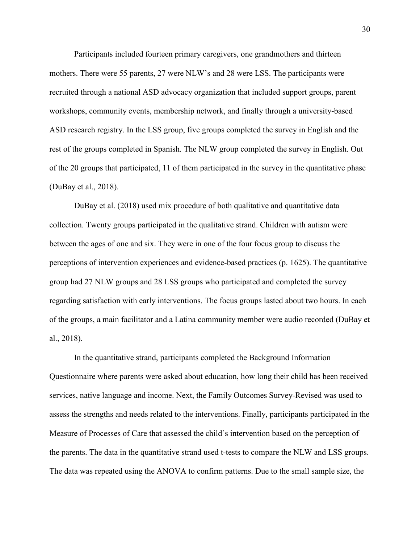Participants included fourteen primary caregivers, one grandmothers and thirteen mothers. There were 55 parents, 27 were NLW's and 28 were LSS. The participants were recruited through a national ASD advocacy organization that included support groups, parent workshops, community events, membership network, and finally through a university-based ASD research registry. In the LSS group, five groups completed the survey in English and the rest of the groups completed in Spanish. The NLW group completed the survey in English. Out of the 20 groups that participated, 11 of them participated in the survey in the quantitative phase (DuBay et al., 2018).

 DuBay et al. (2018) used mix procedure of both qualitative and quantitative data collection. Twenty groups participated in the qualitative strand. Children with autism were between the ages of one and six. They were in one of the four focus group to discuss the perceptions of intervention experiences and evidence-based practices (p. 1625). The quantitative group had 27 NLW groups and 28 LSS groups who participated and completed the survey regarding satisfaction with early interventions. The focus groups lasted about two hours. In each of the groups, a main facilitator and a Latina community member were audio recorded (DuBay et al., 2018).

 In the quantitative strand, participants completed the Background Information Questionnaire where parents were asked about education, how long their child has been received services, native language and income. Next, the Family Outcomes Survey-Revised was used to assess the strengths and needs related to the interventions. Finally, participants participated in the Measure of Processes of Care that assessed the child's intervention based on the perception of the parents. The data in the quantitative strand used t-tests to compare the NLW and LSS groups. The data was repeated using the ANOVA to confirm patterns. Due to the small sample size, the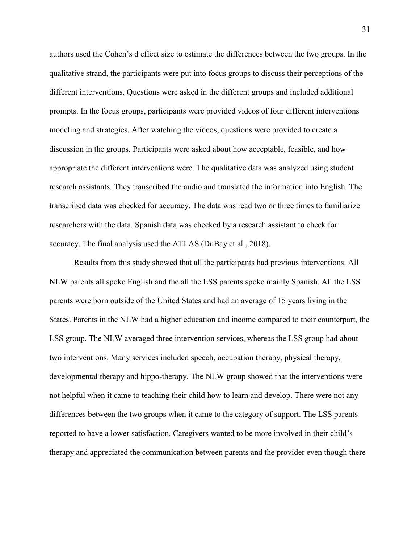authors used the Cohen's d effect size to estimate the differences between the two groups. In the qualitative strand, the participants were put into focus groups to discuss their perceptions of the different interventions. Questions were asked in the different groups and included additional prompts. In the focus groups, participants were provided videos of four different interventions modeling and strategies. After watching the videos, questions were provided to create a discussion in the groups. Participants were asked about how acceptable, feasible, and how appropriate the different interventions were. The qualitative data was analyzed using student research assistants. They transcribed the audio and translated the information into English. The transcribed data was checked for accuracy. The data was read two or three times to familiarize researchers with the data. Spanish data was checked by a research assistant to check for accuracy. The final analysis used the ATLAS (DuBay et al., 2018).

 Results from this study showed that all the participants had previous interventions. All NLW parents all spoke English and the all the LSS parents spoke mainly Spanish. All the LSS parents were born outside of the United States and had an average of 15 years living in the States. Parents in the NLW had a higher education and income compared to their counterpart, the LSS group. The NLW averaged three intervention services, whereas the LSS group had about two interventions. Many services included speech, occupation therapy, physical therapy, developmental therapy and hippo-therapy. The NLW group showed that the interventions were not helpful when it came to teaching their child how to learn and develop. There were not any differences between the two groups when it came to the category of support. The LSS parents reported to have a lower satisfaction. Caregivers wanted to be more involved in their child's therapy and appreciated the communication between parents and the provider even though there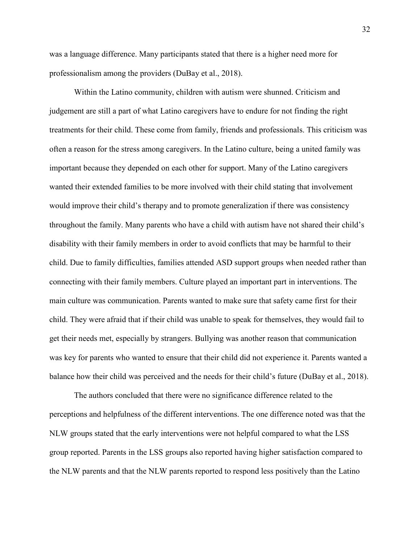was a language difference. Many participants stated that there is a higher need more for professionalism among the providers (DuBay et al., 2018).

 Within the Latino community, children with autism were shunned. Criticism and judgement are still a part of what Latino caregivers have to endure for not finding the right treatments for their child. These come from family, friends and professionals. This criticism was often a reason for the stress among caregivers. In the Latino culture, being a united family was important because they depended on each other for support. Many of the Latino caregivers wanted their extended families to be more involved with their child stating that involvement would improve their child's therapy and to promote generalization if there was consistency throughout the family. Many parents who have a child with autism have not shared their child's disability with their family members in order to avoid conflicts that may be harmful to their child. Due to family difficulties, families attended ASD support groups when needed rather than connecting with their family members. Culture played an important part in interventions. The main culture was communication. Parents wanted to make sure that safety came first for their child. They were afraid that if their child was unable to speak for themselves, they would fail to get their needs met, especially by strangers. Bullying was another reason that communication was key for parents who wanted to ensure that their child did not experience it. Parents wanted a balance how their child was perceived and the needs for their child's future (DuBay et al., 2018).

The authors concluded that there were no significance difference related to the perceptions and helpfulness of the different interventions. The one difference noted was that the NLW groups stated that the early interventions were not helpful compared to what the LSS group reported. Parents in the LSS groups also reported having higher satisfaction compared to the NLW parents and that the NLW parents reported to respond less positively than the Latino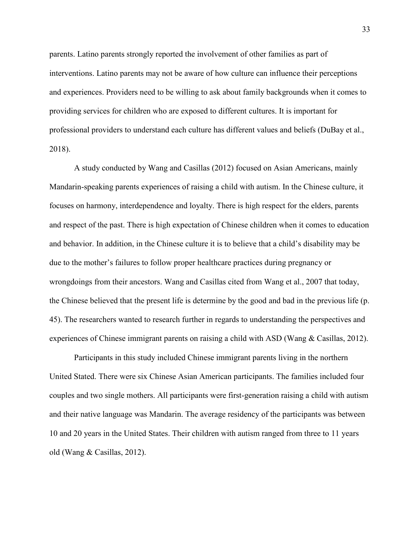parents. Latino parents strongly reported the involvement of other families as part of interventions. Latino parents may not be aware of how culture can influence their perceptions and experiences. Providers need to be willing to ask about family backgrounds when it comes to providing services for children who are exposed to different cultures. It is important for professional providers to understand each culture has different values and beliefs (DuBay et al., 2018).

 A study conducted by Wang and Casillas (2012) focused on Asian Americans, mainly Mandarin-speaking parents experiences of raising a child with autism. In the Chinese culture, it focuses on harmony, interdependence and loyalty. There is high respect for the elders, parents and respect of the past. There is high expectation of Chinese children when it comes to education and behavior. In addition, in the Chinese culture it is to believe that a child's disability may be due to the mother's failures to follow proper healthcare practices during pregnancy or wrongdoings from their ancestors. Wang and Casillas cited from Wang et al., 2007 that today, the Chinese believed that the present life is determine by the good and bad in the previous life (p. 45). The researchers wanted to research further in regards to understanding the perspectives and experiences of Chinese immigrant parents on raising a child with ASD (Wang & Casillas, 2012).

Participants in this study included Chinese immigrant parents living in the northern United Stated. There were six Chinese Asian American participants. The families included four couples and two single mothers. All participants were first-generation raising a child with autism and their native language was Mandarin. The average residency of the participants was between 10 and 20 years in the United States. Their children with autism ranged from three to 11 years old (Wang & Casillas, 2012).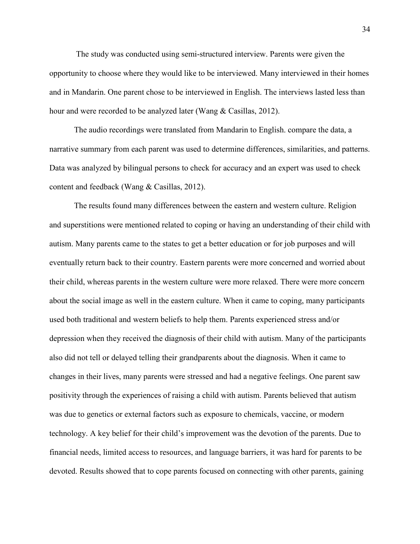The study was conducted using semi-structured interview. Parents were given the opportunity to choose where they would like to be interviewed. Many interviewed in their homes and in Mandarin. One parent chose to be interviewed in English. The interviews lasted less than hour and were recorded to be analyzed later (Wang & Casillas, 2012).

 The audio recordings were translated from Mandarin to English. compare the data, a narrative summary from each parent was used to determine differences, similarities, and patterns. Data was analyzed by bilingual persons to check for accuracy and an expert was used to check content and feedback (Wang & Casillas, 2012).

The results found many differences between the eastern and western culture. Religion and superstitions were mentioned related to coping or having an understanding of their child with autism. Many parents came to the states to get a better education or for job purposes and will eventually return back to their country. Eastern parents were more concerned and worried about their child, whereas parents in the western culture were more relaxed. There were more concern about the social image as well in the eastern culture. When it came to coping, many participants used both traditional and western beliefs to help them. Parents experienced stress and/or depression when they received the diagnosis of their child with autism. Many of the participants also did not tell or delayed telling their grandparents about the diagnosis. When it came to changes in their lives, many parents were stressed and had a negative feelings. One parent saw positivity through the experiences of raising a child with autism. Parents believed that autism was due to genetics or external factors such as exposure to chemicals, vaccine, or modern technology. A key belief for their child's improvement was the devotion of the parents. Due to financial needs, limited access to resources, and language barriers, it was hard for parents to be devoted. Results showed that to cope parents focused on connecting with other parents, gaining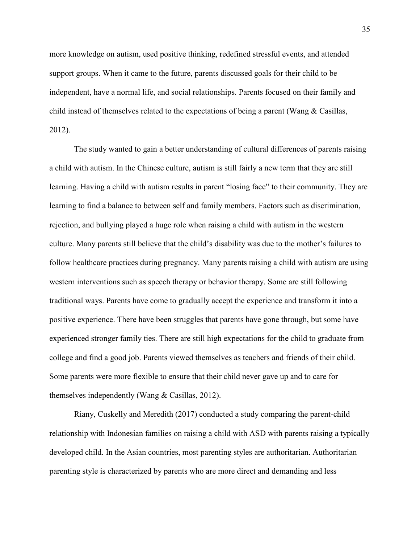more knowledge on autism, used positive thinking, redefined stressful events, and attended support groups. When it came to the future, parents discussed goals for their child to be independent, have a normal life, and social relationships. Parents focused on their family and child instead of themselves related to the expectations of being a parent (Wang & Casillas, 2012).

 The study wanted to gain a better understanding of cultural differences of parents raising a child with autism. In the Chinese culture, autism is still fairly a new term that they are still learning. Having a child with autism results in parent "losing face" to their community. They are learning to find a balance to between self and family members. Factors such as discrimination, rejection, and bullying played a huge role when raising a child with autism in the western culture. Many parents still believe that the child's disability was due to the mother's failures to follow healthcare practices during pregnancy. Many parents raising a child with autism are using western interventions such as speech therapy or behavior therapy. Some are still following traditional ways. Parents have come to gradually accept the experience and transform it into a positive experience. There have been struggles that parents have gone through, but some have experienced stronger family ties. There are still high expectations for the child to graduate from college and find a good job. Parents viewed themselves as teachers and friends of their child. Some parents were more flexible to ensure that their child never gave up and to care for themselves independently (Wang & Casillas, 2012).

 Riany, Cuskelly and Meredith (2017) conducted a study comparing the parent-child relationship with Indonesian families on raising a child with ASD with parents raising a typically developed child. In the Asian countries, most parenting styles are authoritarian. Authoritarian parenting style is characterized by parents who are more direct and demanding and less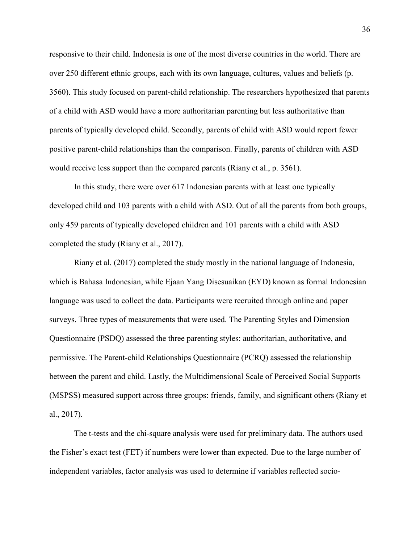responsive to their child. Indonesia is one of the most diverse countries in the world. There are over 250 different ethnic groups, each with its own language, cultures, values and beliefs (p. 3560). This study focused on parent-child relationship. The researchers hypothesized that parents of a child with ASD would have a more authoritarian parenting but less authoritative than parents of typically developed child. Secondly, parents of child with ASD would report fewer positive parent-child relationships than the comparison. Finally, parents of children with ASD would receive less support than the compared parents (Riany et al., p. 3561).

 In this study, there were over 617 Indonesian parents with at least one typically developed child and 103 parents with a child with ASD. Out of all the parents from both groups, only 459 parents of typically developed children and 101 parents with a child with ASD completed the study (Riany et al., 2017).

 Riany et al. (2017) completed the study mostly in the national language of Indonesia, which is Bahasa Indonesian, while Ejaan Yang Disesuaikan (EYD) known as formal Indonesian language was used to collect the data. Participants were recruited through online and paper surveys. Three types of measurements that were used. The Parenting Styles and Dimension Questionnaire (PSDQ) assessed the three parenting styles: authoritarian, authoritative, and permissive. The Parent-child Relationships Questionnaire (PCRQ) assessed the relationship between the parent and child. Lastly, the Multidimensional Scale of Perceived Social Supports (MSPSS) measured support across three groups: friends, family, and significant others (Riany et al., 2017).

The t-tests and the chi-square analysis were used for preliminary data. The authors used the Fisher's exact test (FET) if numbers were lower than expected. Due to the large number of independent variables, factor analysis was used to determine if variables reflected socio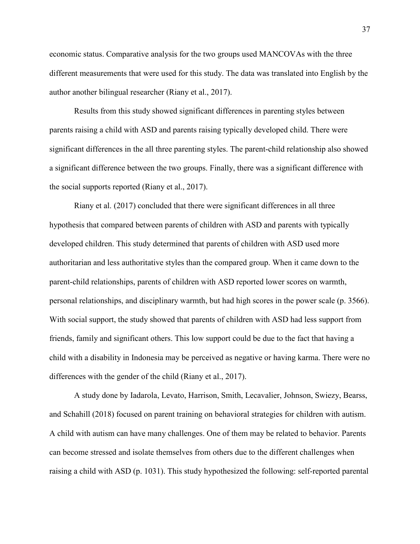economic status. Comparative analysis for the two groups used MANCOVAs with the three different measurements that were used for this study. The data was translated into English by the author another bilingual researcher (Riany et al., 2017).

 Results from this study showed significant differences in parenting styles between parents raising a child with ASD and parents raising typically developed child. There were significant differences in the all three parenting styles. The parent-child relationship also showed a significant difference between the two groups. Finally, there was a significant difference with the social supports reported (Riany et al., 2017).

 Riany et al. (2017) concluded that there were significant differences in all three hypothesis that compared between parents of children with ASD and parents with typically developed children. This study determined that parents of children with ASD used more authoritarian and less authoritative styles than the compared group. When it came down to the parent-child relationships, parents of children with ASD reported lower scores on warmth, personal relationships, and disciplinary warmth, but had high scores in the power scale (p. 3566). With social support, the study showed that parents of children with ASD had less support from friends, family and significant others. This low support could be due to the fact that having a child with a disability in Indonesia may be perceived as negative or having karma. There were no differences with the gender of the child (Riany et al., 2017).

 A study done by Iadarola, Levato, Harrison, Smith, Lecavalier, Johnson, Swiezy, Bearss, and Schahill (2018) focused on parent training on behavioral strategies for children with autism. A child with autism can have many challenges. One of them may be related to behavior. Parents can become stressed and isolate themselves from others due to the different challenges when raising a child with ASD (p. 1031). This study hypothesized the following: self-reported parental

37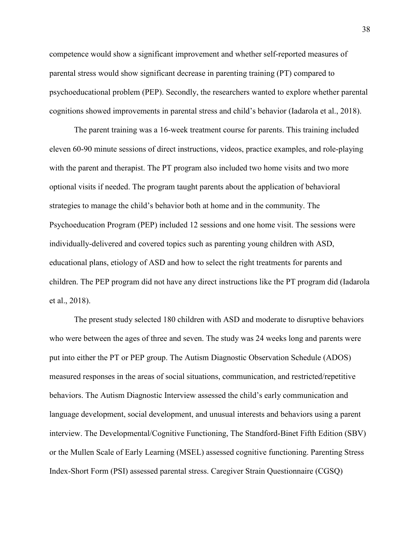competence would show a significant improvement and whether self-reported measures of parental stress would show significant decrease in parenting training (PT) compared to psychoeducational problem (PEP). Secondly, the researchers wanted to explore whether parental cognitions showed improvements in parental stress and child's behavior (Iadarola et al., 2018).

 The parent training was a 16-week treatment course for parents. This training included eleven 60-90 minute sessions of direct instructions, videos, practice examples, and role-playing with the parent and therapist. The PT program also included two home visits and two more optional visits if needed. The program taught parents about the application of behavioral strategies to manage the child's behavior both at home and in the community. The Psychoeducation Program (PEP) included 12 sessions and one home visit. The sessions were individually-delivered and covered topics such as parenting young children with ASD, educational plans, etiology of ASD and how to select the right treatments for parents and children. The PEP program did not have any direct instructions like the PT program did (Iadarola et al., 2018).

The present study selected 180 children with ASD and moderate to disruptive behaviors who were between the ages of three and seven. The study was 24 weeks long and parents were put into either the PT or PEP group. The Autism Diagnostic Observation Schedule (ADOS) measured responses in the areas of social situations, communication, and restricted/repetitive behaviors. The Autism Diagnostic Interview assessed the child's early communication and language development, social development, and unusual interests and behaviors using a parent interview. The Developmental/Cognitive Functioning, The Standford-Binet Fifth Edition (SBV) or the Mullen Scale of Early Learning (MSEL) assessed cognitive functioning. Parenting Stress Index-Short Form (PSI) assessed parental stress. Caregiver Strain Questionnaire (CGSQ)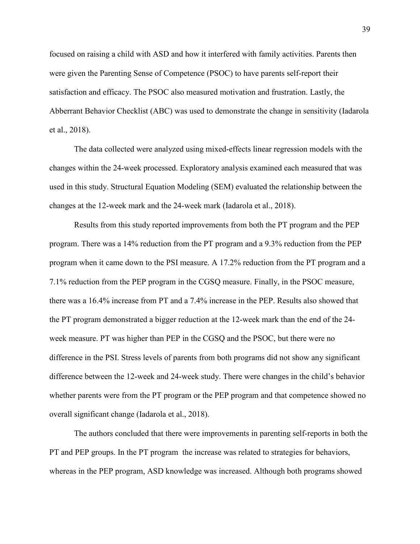focused on raising a child with ASD and how it interfered with family activities. Parents then were given the Parenting Sense of Competence (PSOC) to have parents self-report their satisfaction and efficacy. The PSOC also measured motivation and frustration. Lastly, the Abberrant Behavior Checklist (ABC) was used to demonstrate the change in sensitivity (Iadarola et al., 2018).

The data collected were analyzed using mixed-effects linear regression models with the changes within the 24-week processed. Exploratory analysis examined each measured that was used in this study. Structural Equation Modeling (SEM) evaluated the relationship between the changes at the 12-week mark and the 24-week mark (Iadarola et al., 2018).

 Results from this study reported improvements from both the PT program and the PEP program. There was a 14% reduction from the PT program and a 9.3% reduction from the PEP program when it came down to the PSI measure. A 17.2% reduction from the PT program and a 7.1% reduction from the PEP program in the CGSQ measure. Finally, in the PSOC measure, there was a 16.4% increase from PT and a 7.4% increase in the PEP. Results also showed that the PT program demonstrated a bigger reduction at the 12-week mark than the end of the 24 week measure. PT was higher than PEP in the CGSQ and the PSOC, but there were no difference in the PSI. Stress levels of parents from both programs did not show any significant difference between the 12-week and 24-week study. There were changes in the child's behavior whether parents were from the PT program or the PEP program and that competence showed no overall significant change (Iadarola et al., 2018).

 The authors concluded that there were improvements in parenting self-reports in both the PT and PEP groups. In the PT program the increase was related to strategies for behaviors, whereas in the PEP program, ASD knowledge was increased. Although both programs showed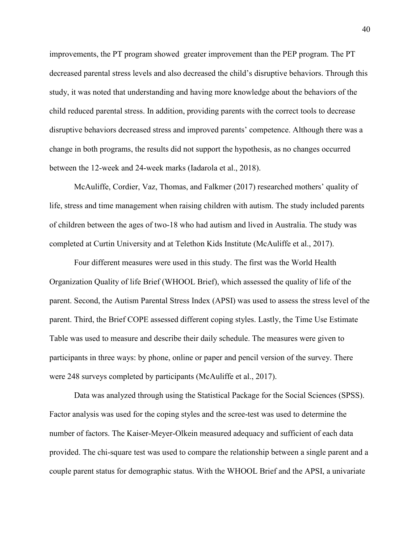improvements, the PT program showed greater improvement than the PEP program. The PT decreased parental stress levels and also decreased the child's disruptive behaviors. Through this study, it was noted that understanding and having more knowledge about the behaviors of the child reduced parental stress. In addition, providing parents with the correct tools to decrease disruptive behaviors decreased stress and improved parents' competence. Although there was a change in both programs, the results did not support the hypothesis, as no changes occurred between the 12-week and 24-week marks (Iadarola et al., 2018).

 McAuliffe, Cordier, Vaz, Thomas, and Falkmer (2017) researched mothers' quality of life, stress and time management when raising children with autism. The study included parents of children between the ages of two-18 who had autism and lived in Australia. The study was completed at Curtin University and at Telethon Kids Institute (McAuliffe et al., 2017).

 Four different measures were used in this study. The first was the World Health Organization Quality of life Brief (WHOOL Brief), which assessed the quality of life of the parent. Second, the Autism Parental Stress Index (APSI) was used to assess the stress level of the parent. Third, the Brief COPE assessed different coping styles. Lastly, the Time Use Estimate Table was used to measure and describe their daily schedule. The measures were given to participants in three ways: by phone, online or paper and pencil version of the survey. There were 248 surveys completed by participants (McAuliffe et al., 2017).

Data was analyzed through using the Statistical Package for the Social Sciences (SPSS). Factor analysis was used for the coping styles and the scree-test was used to determine the number of factors. The Kaiser-Meyer-Olkein measured adequacy and sufficient of each data provided. The chi-square test was used to compare the relationship between a single parent and a couple parent status for demographic status. With the WHOOL Brief and the APSI, a univariate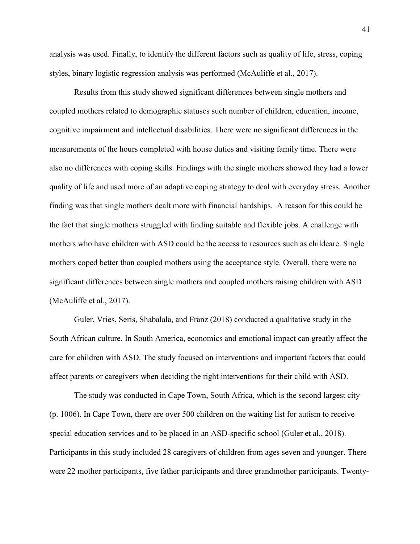analysis was used. Finally, to identify the different factors such as quality of life, stress, coping styles, binary logistic regression analysis was performed (McAuliffe et al., 2017).

 Results from this study showed significant differences between single mothers and coupled mothers related to demographic statuses such number of children, education, income, cognitive impairment and intellectual disabilities. There were no significant differences in the measurements of the hours completed with house duties and visiting family time. There were also no differences with coping skills. Findings with the single mothers showed they had a lower quality of life and used more of an adaptive coping strategy to deal with everyday stress. Another finding was that single mothers dealt more with financial hardships. A reason for this could be the fact that single mothers struggled with finding suitable and flexible jobs. A challenge with mothers who have children with ASD could be the access to resources such as childcare. Single mothers coped better than coupled mothers using the acceptance style. Overall, there were no significant differences between single mothers and coupled mothers raising children with ASD (McAuliffe et al., 2017).

 Guler, Vries, Seris, Shabalala, and Franz (2018) conducted a qualitative study in the South African culture. In South America, economics and emotional impact can greatly affect the care for children with ASD. The study focused on interventions and important factors that could affect parents or caregivers when deciding the right interventions for their child with ASD.

The study was conducted in Cape Town, South Africa, which is the second largest city (p. 1006). In Cape Town, there are over 500 children on the waiting list for autism to receive special education services and to be placed in an ASD-specific school (Guler et al., 2018). Participants in this study included 28 caregivers of children from ages seven and younger. There were 22 mother participants, five father participants and three grandmother participants. Twenty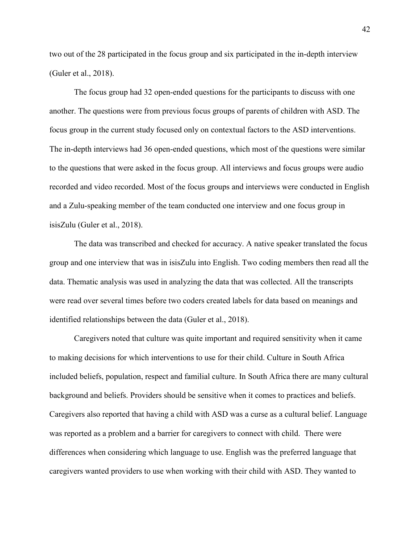two out of the 28 participated in the focus group and six participated in the in-depth interview (Guler et al., 2018).

 The focus group had 32 open-ended questions for the participants to discuss with one another. The questions were from previous focus groups of parents of children with ASD. The focus group in the current study focused only on contextual factors to the ASD interventions. The in-depth interviews had 36 open-ended questions, which most of the questions were similar to the questions that were asked in the focus group. All interviews and focus groups were audio recorded and video recorded. Most of the focus groups and interviews were conducted in English and a Zulu-speaking member of the team conducted one interview and one focus group in isisZulu (Guler et al., 2018).

The data was transcribed and checked for accuracy. A native speaker translated the focus group and one interview that was in isisZulu into English. Two coding members then read all the data. Thematic analysis was used in analyzing the data that was collected. All the transcripts were read over several times before two coders created labels for data based on meanings and identified relationships between the data (Guler et al., 2018).

 Caregivers noted that culture was quite important and required sensitivity when it came to making decisions for which interventions to use for their child. Culture in South Africa included beliefs, population, respect and familial culture. In South Africa there are many cultural background and beliefs. Providers should be sensitive when it comes to practices and beliefs. Caregivers also reported that having a child with ASD was a curse as a cultural belief. Language was reported as a problem and a barrier for caregivers to connect with child. There were differences when considering which language to use. English was the preferred language that caregivers wanted providers to use when working with their child with ASD. They wanted to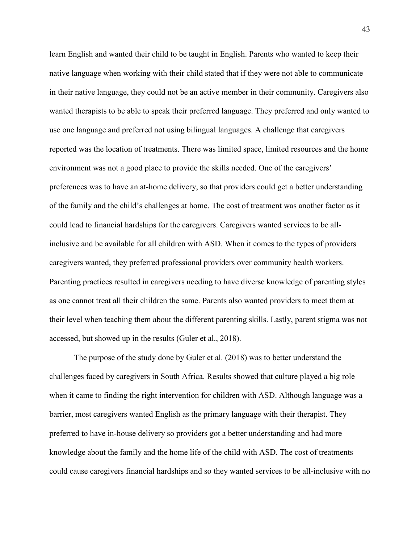learn English and wanted their child to be taught in English. Parents who wanted to keep their native language when working with their child stated that if they were not able to communicate in their native language, they could not be an active member in their community. Caregivers also wanted therapists to be able to speak their preferred language. They preferred and only wanted to use one language and preferred not using bilingual languages. A challenge that caregivers reported was the location of treatments. There was limited space, limited resources and the home environment was not a good place to provide the skills needed. One of the caregivers' preferences was to have an at-home delivery, so that providers could get a better understanding of the family and the child's challenges at home. The cost of treatment was another factor as it could lead to financial hardships for the caregivers. Caregivers wanted services to be allinclusive and be available for all children with ASD. When it comes to the types of providers caregivers wanted, they preferred professional providers over community health workers. Parenting practices resulted in caregivers needing to have diverse knowledge of parenting styles as one cannot treat all their children the same. Parents also wanted providers to meet them at their level when teaching them about the different parenting skills. Lastly, parent stigma was not accessed, but showed up in the results (Guler et al., 2018).

 The purpose of the study done by Guler et al. (2018) was to better understand the challenges faced by caregivers in South Africa. Results showed that culture played a big role when it came to finding the right intervention for children with ASD. Although language was a barrier, most caregivers wanted English as the primary language with their therapist. They preferred to have in-house delivery so providers got a better understanding and had more knowledge about the family and the home life of the child with ASD. The cost of treatments could cause caregivers financial hardships and so they wanted services to be all-inclusive with no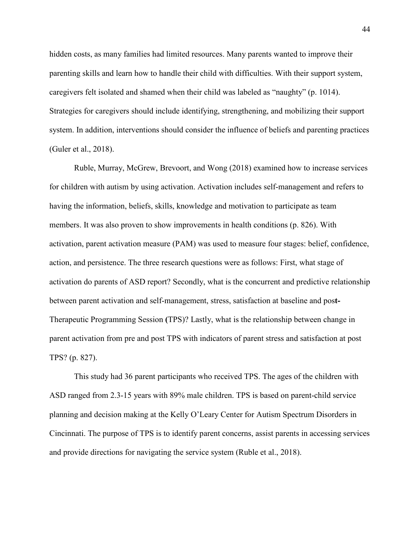hidden costs, as many families had limited resources. Many parents wanted to improve their parenting skills and learn how to handle their child with difficulties. With their support system, caregivers felt isolated and shamed when their child was labeled as "naughty" (p. 1014). Strategies for caregivers should include identifying, strengthening, and mobilizing their support system. In addition, interventions should consider the influence of beliefs and parenting practices (Guler et al., 2018).

 Ruble, Murray, McGrew, Brevoort, and Wong (2018) examined how to increase services for children with autism by using activation. Activation includes self-management and refers to having the information, beliefs, skills, knowledge and motivation to participate as team members. It was also proven to show improvements in health conditions (p. 826). With activation, parent activation measure (PAM) was used to measure four stages: belief, confidence, action, and persistence. The three research questions were as follows: First, what stage of activation do parents of ASD report? Secondly, what is the concurrent and predictive relationship between parent activation and self-management, stress, satisfaction at baseline and pos**t-**Therapeutic Programming Session **(**TPS)? Lastly, what is the relationship between change in parent activation from pre and post TPS with indicators of parent stress and satisfaction at post TPS? (p. 827).

 This study had 36 parent participants who received TPS. The ages of the children with ASD ranged from 2.3-15 years with 89% male children. TPS is based on parent-child service planning and decision making at the Kelly O'Leary Center for Autism Spectrum Disorders in Cincinnati. The purpose of TPS is to identify parent concerns, assist parents in accessing services and provide directions for navigating the service system (Ruble et al., 2018).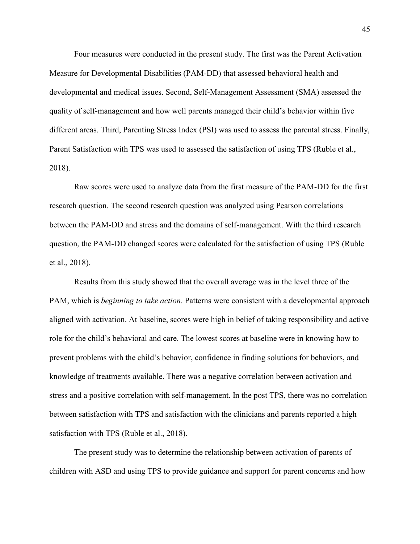Four measures were conducted in the present study. The first was the Parent Activation Measure for Developmental Disabilities (PAM-DD) that assessed behavioral health and developmental and medical issues. Second, Self-Management Assessment (SMA) assessed the quality of self-management and how well parents managed their child's behavior within five different areas. Third, Parenting Stress Index (PSI) was used to assess the parental stress. Finally, Parent Satisfaction with TPS was used to assessed the satisfaction of using TPS (Ruble et al., 2018).

Raw scores were used to analyze data from the first measure of the PAM-DD for the first research question. The second research question was analyzed using Pearson correlations between the PAM-DD and stress and the domains of self-management. With the third research question, the PAM-DD changed scores were calculated for the satisfaction of using TPS (Ruble et al., 2018).

 Results from this study showed that the overall average was in the level three of the PAM, which is *beginning to take action*. Patterns were consistent with a developmental approach aligned with activation. At baseline, scores were high in belief of taking responsibility and active role for the child's behavioral and care. The lowest scores at baseline were in knowing how to prevent problems with the child's behavior, confidence in finding solutions for behaviors, and knowledge of treatments available. There was a negative correlation between activation and stress and a positive correlation with self-management. In the post TPS, there was no correlation between satisfaction with TPS and satisfaction with the clinicians and parents reported a high satisfaction with TPS (Ruble et al., 2018).

 The present study was to determine the relationship between activation of parents of children with ASD and using TPS to provide guidance and support for parent concerns and how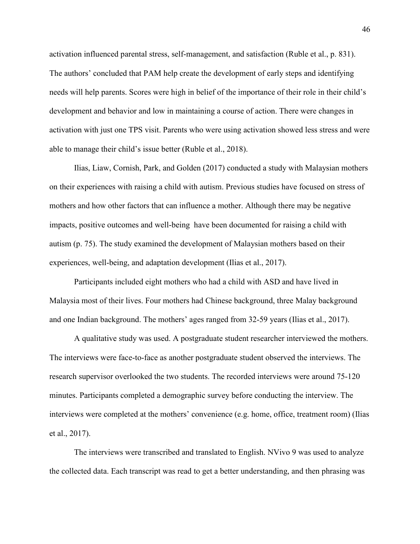activation influenced parental stress, self-management, and satisfaction (Ruble et al., p. 831). The authors' concluded that PAM help create the development of early steps and identifying needs will help parents. Scores were high in belief of the importance of their role in their child's development and behavior and low in maintaining a course of action. There were changes in activation with just one TPS visit. Parents who were using activation showed less stress and were able to manage their child's issue better (Ruble et al., 2018).

 Ilias, Liaw, Cornish, Park, and Golden (2017) conducted a study with Malaysian mothers on their experiences with raising a child with autism. Previous studies have focused on stress of mothers and how other factors that can influence a mother. Although there may be negative impacts, positive outcomes and well-being have been documented for raising a child with autism (p. 75). The study examined the development of Malaysian mothers based on their experiences, well-being, and adaptation development (Ilias et al., 2017).

 Participants included eight mothers who had a child with ASD and have lived in Malaysia most of their lives. Four mothers had Chinese background, three Malay background and one Indian background. The mothers' ages ranged from 32-59 years (Ilias et al., 2017).

 A qualitative study was used. A postgraduate student researcher interviewed the mothers. The interviews were face-to-face as another postgraduate student observed the interviews. The research supervisor overlooked the two students. The recorded interviews were around 75-120 minutes. Participants completed a demographic survey before conducting the interview. The interviews were completed at the mothers' convenience (e.g. home, office, treatment room) (Ilias et al., 2017).

The interviews were transcribed and translated to English. NVivo 9 was used to analyze the collected data. Each transcript was read to get a better understanding, and then phrasing was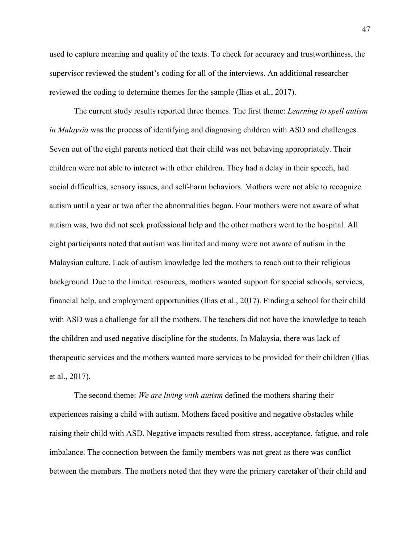used to capture meaning and quality of the texts. To check for accuracy and trustworthiness, the supervisor reviewed the student's coding for all of the interviews. An additional researcher reviewed the coding to determine themes for the sample (Ilias et al., 2017).

 The current study results reported three themes. The first theme: *Learning to spell autism in Malaysia* was the process of identifying and diagnosing children with ASD and challenges. Seven out of the eight parents noticed that their child was not behaving appropriately. Their children were not able to interact with other children. They had a delay in their speech, had social difficulties, sensory issues, and self-harm behaviors. Mothers were not able to recognize autism until a year or two after the abnormalities began. Four mothers were not aware of what autism was, two did not seek professional help and the other mothers went to the hospital. All eight participants noted that autism was limited and many were not aware of autism in the Malaysian culture. Lack of autism knowledge led the mothers to reach out to their religious background. Due to the limited resources, mothers wanted support for special schools, services, financial help, and employment opportunities (Ilias et al., 2017). Finding a school for their child with ASD was a challenge for all the mothers. The teachers did not have the knowledge to teach the children and used negative discipline for the students. In Malaysia, there was lack of therapeutic services and the mothers wanted more services to be provided for their children (Ilias et al., 2017).

The second theme: *We are living with autism* defined the mothers sharing their experiences raising a child with autism. Mothers faced positive and negative obstacles while raising their child with ASD. Negative impacts resulted from stress, acceptance, fatigue, and role imbalance. The connection between the family members was not great as there was conflict between the members. The mothers noted that they were the primary caretaker of their child and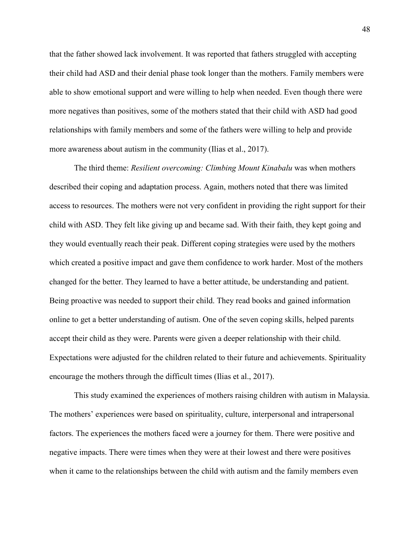that the father showed lack involvement. It was reported that fathers struggled with accepting their child had ASD and their denial phase took longer than the mothers. Family members were able to show emotional support and were willing to help when needed. Even though there were more negatives than positives, some of the mothers stated that their child with ASD had good relationships with family members and some of the fathers were willing to help and provide more awareness about autism in the community (Ilias et al., 2017).

The third theme: *Resilient overcoming: Climbing Mount Kinabalu* was when mothers described their coping and adaptation process. Again, mothers noted that there was limited access to resources. The mothers were not very confident in providing the right support for their child with ASD. They felt like giving up and became sad. With their faith, they kept going and they would eventually reach their peak. Different coping strategies were used by the mothers which created a positive impact and gave them confidence to work harder. Most of the mothers changed for the better. They learned to have a better attitude, be understanding and patient. Being proactive was needed to support their child. They read books and gained information online to get a better understanding of autism. One of the seven coping skills, helped parents accept their child as they were. Parents were given a deeper relationship with their child. Expectations were adjusted for the children related to their future and achievements. Spirituality encourage the mothers through the difficult times (Ilias et al., 2017).

This study examined the experiences of mothers raising children with autism in Malaysia. The mothers' experiences were based on spirituality, culture, interpersonal and intrapersonal factors. The experiences the mothers faced were a journey for them. There were positive and negative impacts. There were times when they were at their lowest and there were positives when it came to the relationships between the child with autism and the family members even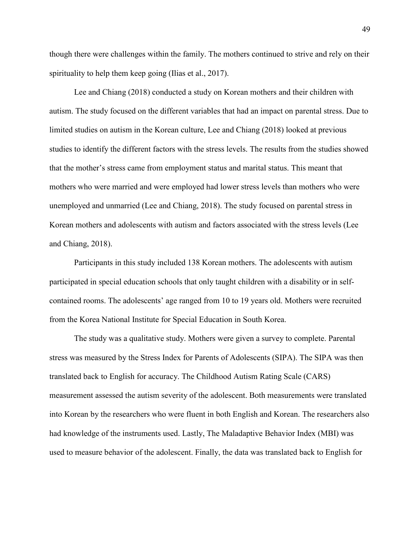though there were challenges within the family. The mothers continued to strive and rely on their spirituality to help them keep going (Ilias et al., 2017).

 Lee and Chiang (2018) conducted a study on Korean mothers and their children with autism. The study focused on the different variables that had an impact on parental stress. Due to limited studies on autism in the Korean culture, Lee and Chiang (2018) looked at previous studies to identify the different factors with the stress levels. The results from the studies showed that the mother's stress came from employment status and marital status. This meant that mothers who were married and were employed had lower stress levels than mothers who were unemployed and unmarried (Lee and Chiang, 2018). The study focused on parental stress in Korean mothers and adolescents with autism and factors associated with the stress levels (Lee and Chiang, 2018).

 Participants in this study included 138 Korean mothers. The adolescents with autism participated in special education schools that only taught children with a disability or in selfcontained rooms. The adolescents' age ranged from 10 to 19 years old. Mothers were recruited from the Korea National Institute for Special Education in South Korea.

The study was a qualitative study. Mothers were given a survey to complete. Parental stress was measured by the Stress Index for Parents of Adolescents (SIPA). The SIPA was then translated back to English for accuracy. The Childhood Autism Rating Scale (CARS) measurement assessed the autism severity of the adolescent. Both measurements were translated into Korean by the researchers who were fluent in both English and Korean. The researchers also had knowledge of the instruments used. Lastly, The Maladaptive Behavior Index (MBI) was used to measure behavior of the adolescent. Finally, the data was translated back to English for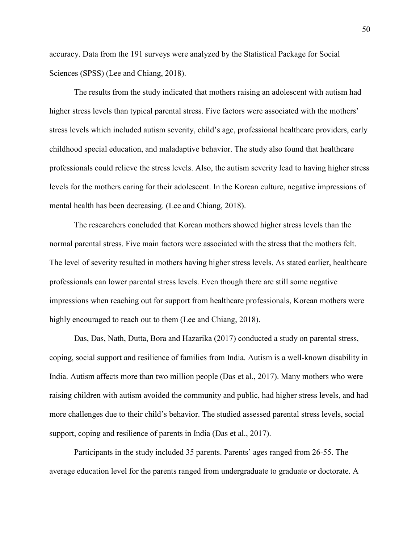accuracy. Data from the 191 surveys were analyzed by the Statistical Package for Social Sciences (SPSS) (Lee and Chiang, 2018).

 The results from the study indicated that mothers raising an adolescent with autism had higher stress levels than typical parental stress. Five factors were associated with the mothers' stress levels which included autism severity, child's age, professional healthcare providers, early childhood special education, and maladaptive behavior. The study also found that healthcare professionals could relieve the stress levels. Also, the autism severity lead to having higher stress levels for the mothers caring for their adolescent. In the Korean culture, negative impressions of mental health has been decreasing. (Lee and Chiang, 2018).

The researchers concluded that Korean mothers showed higher stress levels than the normal parental stress. Five main factors were associated with the stress that the mothers felt. The level of severity resulted in mothers having higher stress levels. As stated earlier, healthcare professionals can lower parental stress levels. Even though there are still some negative impressions when reaching out for support from healthcare professionals, Korean mothers were highly encouraged to reach out to them (Lee and Chiang, 2018).

 Das, Das, Nath, Dutta, Bora and Hazarika (2017) conducted a study on parental stress, coping, social support and resilience of families from India. Autism is a well-known disability in India. Autism affects more than two million people (Das et al., 2017). Many mothers who were raising children with autism avoided the community and public, had higher stress levels, and had more challenges due to their child's behavior. The studied assessed parental stress levels, social support, coping and resilience of parents in India (Das et al., 2017).

 Participants in the study included 35 parents. Parents' ages ranged from 26-55. The average education level for the parents ranged from undergraduate to graduate or doctorate. A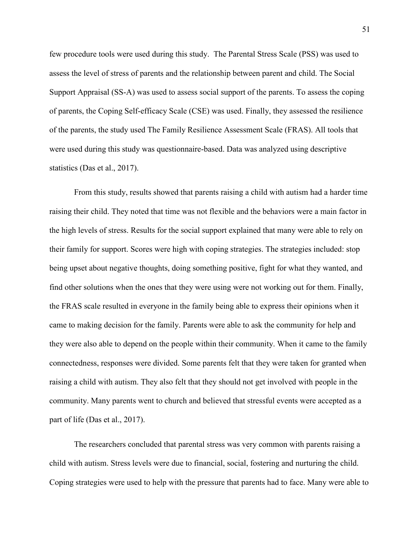few procedure tools were used during this study. The Parental Stress Scale (PSS) was used to assess the level of stress of parents and the relationship between parent and child. The Social Support Appraisal (SS-A) was used to assess social support of the parents. To assess the coping of parents, the Coping Self-efficacy Scale (CSE) was used. Finally, they assessed the resilience of the parents, the study used The Family Resilience Assessment Scale (FRAS). All tools that were used during this study was questionnaire-based. Data was analyzed using descriptive statistics (Das et al., 2017).

From this study, results showed that parents raising a child with autism had a harder time raising their child. They noted that time was not flexible and the behaviors were a main factor in the high levels of stress. Results for the social support explained that many were able to rely on their family for support. Scores were high with coping strategies. The strategies included: stop being upset about negative thoughts, doing something positive, fight for what they wanted, and find other solutions when the ones that they were using were not working out for them. Finally, the FRAS scale resulted in everyone in the family being able to express their opinions when it came to making decision for the family. Parents were able to ask the community for help and they were also able to depend on the people within their community. When it came to the family connectedness, responses were divided. Some parents felt that they were taken for granted when raising a child with autism. They also felt that they should not get involved with people in the community. Many parents went to church and believed that stressful events were accepted as a part of life (Das et al., 2017).

The researchers concluded that parental stress was very common with parents raising a child with autism. Stress levels were due to financial, social, fostering and nurturing the child. Coping strategies were used to help with the pressure that parents had to face. Many were able to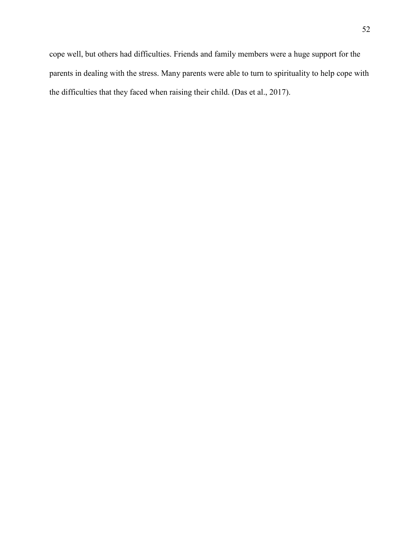cope well, but others had difficulties. Friends and family members were a huge support for the parents in dealing with the stress. Many parents were able to turn to spirituality to help cope with the difficulties that they faced when raising their child. (Das et al., 2017).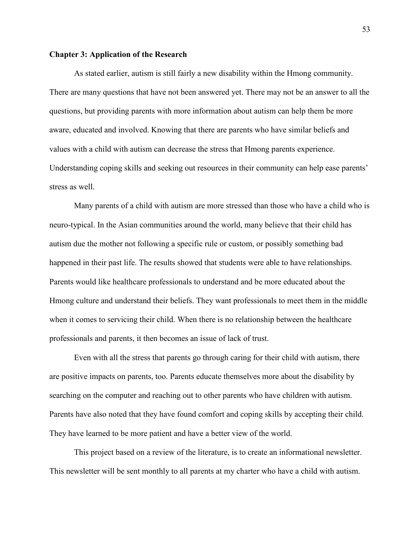#### **Chapter 3: Application of the Research**

As stated earlier, autism is still fairly a new disability within the Hmong community. There are many questions that have not been answered yet. There may not be an answer to all the questions, but providing parents with more information about autism can help them be more aware, educated and involved. Knowing that there are parents who have similar beliefs and values with a child with autism can decrease the stress that Hmong parents experience. Understanding coping skills and seeking out resources in their community can help ease parents' stress as well.

Many parents of a child with autism are more stressed than those who have a child who is neuro-typical. In the Asian communities around the world, many believe that their child has autism due the mother not following a specific rule or custom, or possibly something bad happened in their past life. The results showed that students were able to have relationships. Parents would like healthcare professionals to understand and be more educated about the Hmong culture and understand their beliefs. They want professionals to meet them in the middle when it comes to servicing their child. When there is no relationship between the healthcare professionals and parents, it then becomes an issue of lack of trust.

Even with all the stress that parents go through caring for their child with autism, there are positive impacts on parents, too. Parents educate themselves more about the disability by searching on the computer and reaching out to other parents who have children with autism. Parents have also noted that they have found comfort and coping skills by accepting their child. They have learned to be more patient and have a better view of the world.

This project based on a review of the literature, is to create an informational newsletter. This newsletter will be sent monthly to all parents at my charter who have a child with autism.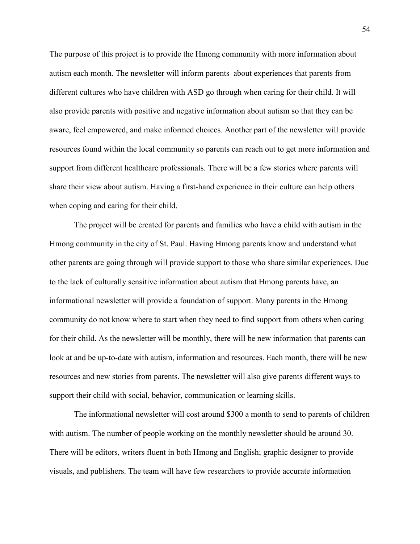The purpose of this project is to provide the Hmong community with more information about autism each month. The newsletter will inform parents about experiences that parents from different cultures who have children with ASD go through when caring for their child. It will also provide parents with positive and negative information about autism so that they can be aware, feel empowered, and make informed choices. Another part of the newsletter will provide resources found within the local community so parents can reach out to get more information and support from different healthcare professionals. There will be a few stories where parents will share their view about autism. Having a first-hand experience in their culture can help others when coping and caring for their child.

The project will be created for parents and families who have a child with autism in the Hmong community in the city of St. Paul. Having Hmong parents know and understand what other parents are going through will provide support to those who share similar experiences. Due to the lack of culturally sensitive information about autism that Hmong parents have, an informational newsletter will provide a foundation of support. Many parents in the Hmong community do not know where to start when they need to find support from others when caring for their child. As the newsletter will be monthly, there will be new information that parents can look at and be up-to-date with autism, information and resources. Each month, there will be new resources and new stories from parents. The newsletter will also give parents different ways to support their child with social, behavior, communication or learning skills.

The informational newsletter will cost around \$300 a month to send to parents of children with autism. The number of people working on the monthly newsletter should be around 30. There will be editors, writers fluent in both Hmong and English; graphic designer to provide visuals, and publishers. The team will have few researchers to provide accurate information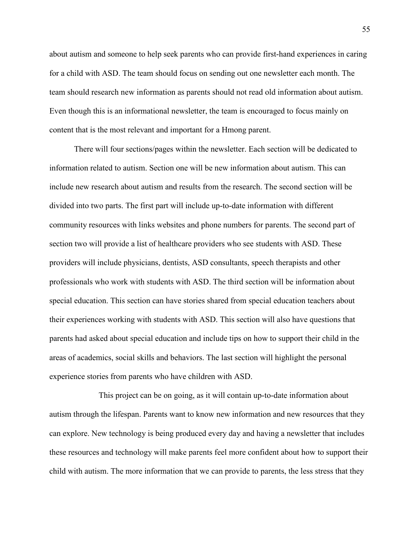about autism and someone to help seek parents who can provide first-hand experiences in caring for a child with ASD. The team should focus on sending out one newsletter each month. The team should research new information as parents should not read old information about autism. Even though this is an informational newsletter, the team is encouraged to focus mainly on content that is the most relevant and important for a Hmong parent.

There will four sections/pages within the newsletter. Each section will be dedicated to information related to autism. Section one will be new information about autism. This can include new research about autism and results from the research. The second section will be divided into two parts. The first part will include up-to-date information with different community resources with links websites and phone numbers for parents. The second part of section two will provide a list of healthcare providers who see students with ASD. These providers will include physicians, dentists, ASD consultants, speech therapists and other professionals who work with students with ASD. The third section will be information about special education. This section can have stories shared from special education teachers about their experiences working with students with ASD. This section will also have questions that parents had asked about special education and include tips on how to support their child in the areas of academics, social skills and behaviors. The last section will highlight the personal experience stories from parents who have children with ASD.

This project can be on going, as it will contain up-to-date information about autism through the lifespan. Parents want to know new information and new resources that they can explore. New technology is being produced every day and having a newsletter that includes these resources and technology will make parents feel more confident about how to support their child with autism. The more information that we can provide to parents, the less stress that they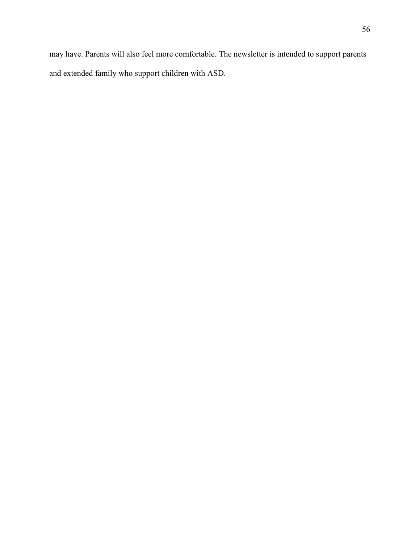may have. Parents will also feel more comfortable. The newsletter is intended to support parents and extended family who support children with ASD.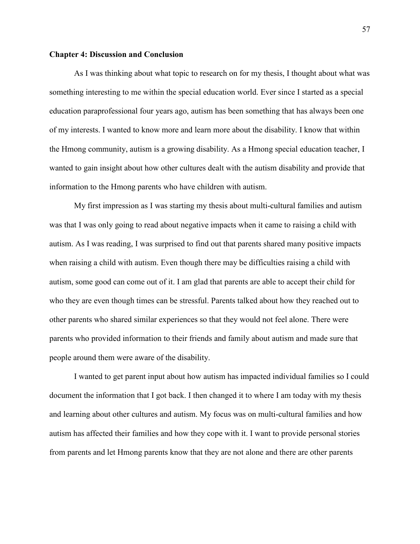#### **Chapter 4: Discussion and Conclusion**

 As I was thinking about what topic to research on for my thesis, I thought about what was something interesting to me within the special education world. Ever since I started as a special education paraprofessional four years ago, autism has been something that has always been one of my interests. I wanted to know more and learn more about the disability. I know that within the Hmong community, autism is a growing disability. As a Hmong special education teacher, I wanted to gain insight about how other cultures dealt with the autism disability and provide that information to the Hmong parents who have children with autism.

My first impression as I was starting my thesis about multi-cultural families and autism was that I was only going to read about negative impacts when it came to raising a child with autism. As I was reading, I was surprised to find out that parents shared many positive impacts when raising a child with autism. Even though there may be difficulties raising a child with autism, some good can come out of it. I am glad that parents are able to accept their child for who they are even though times can be stressful. Parents talked about how they reached out to other parents who shared similar experiences so that they would not feel alone. There were parents who provided information to their friends and family about autism and made sure that people around them were aware of the disability.

I wanted to get parent input about how autism has impacted individual families so I could document the information that I got back. I then changed it to where I am today with my thesis and learning about other cultures and autism. My focus was on multi-cultural families and how autism has affected their families and how they cope with it. I want to provide personal stories from parents and let Hmong parents know that they are not alone and there are other parents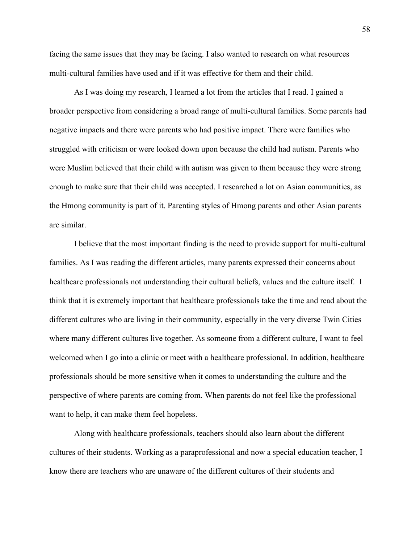facing the same issues that they may be facing. I also wanted to research on what resources multi-cultural families have used and if it was effective for them and their child.

As I was doing my research, I learned a lot from the articles that I read. I gained a broader perspective from considering a broad range of multi-cultural families. Some parents had negative impacts and there were parents who had positive impact. There were families who struggled with criticism or were looked down upon because the child had autism. Parents who were Muslim believed that their child with autism was given to them because they were strong enough to make sure that their child was accepted. I researched a lot on Asian communities, as the Hmong community is part of it. Parenting styles of Hmong parents and other Asian parents are similar.

I believe that the most important finding is the need to provide support for multi-cultural families. As I was reading the different articles, many parents expressed their concerns about healthcare professionals not understanding their cultural beliefs, values and the culture itself. I think that it is extremely important that healthcare professionals take the time and read about the different cultures who are living in their community, especially in the very diverse Twin Cities where many different cultures live together. As someone from a different culture, I want to feel welcomed when I go into a clinic or meet with a healthcare professional. In addition, healthcare professionals should be more sensitive when it comes to understanding the culture and the perspective of where parents are coming from. When parents do not feel like the professional want to help, it can make them feel hopeless.

Along with healthcare professionals, teachers should also learn about the different cultures of their students. Working as a paraprofessional and now a special education teacher, I know there are teachers who are unaware of the different cultures of their students and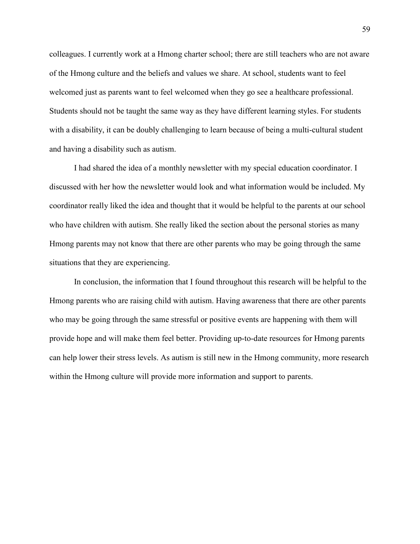colleagues. I currently work at a Hmong charter school; there are still teachers who are not aware of the Hmong culture and the beliefs and values we share. At school, students want to feel welcomed just as parents want to feel welcomed when they go see a healthcare professional. Students should not be taught the same way as they have different learning styles. For students with a disability, it can be doubly challenging to learn because of being a multi-cultural student and having a disability such as autism.

I had shared the idea of a monthly newsletter with my special education coordinator. I discussed with her how the newsletter would look and what information would be included. My coordinator really liked the idea and thought that it would be helpful to the parents at our school who have children with autism. She really liked the section about the personal stories as many Hmong parents may not know that there are other parents who may be going through the same situations that they are experiencing.

In conclusion, the information that I found throughout this research will be helpful to the Hmong parents who are raising child with autism. Having awareness that there are other parents who may be going through the same stressful or positive events are happening with them will provide hope and will make them feel better. Providing up-to-date resources for Hmong parents can help lower their stress levels. As autism is still new in the Hmong community, more research within the Hmong culture will provide more information and support to parents.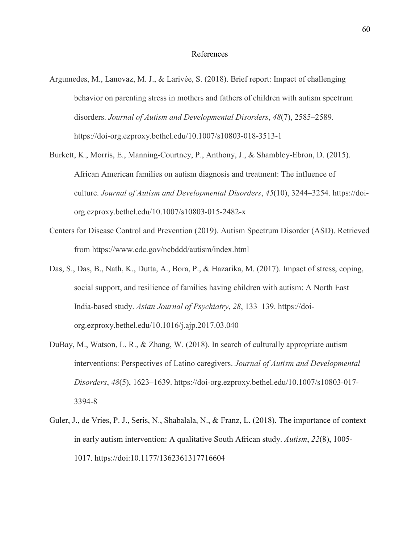- Argumedes, M., Lanovaz, M. J., & Larivée, S. (2018). Brief report: Impact of challenging behavior on parenting stress in mothers and fathers of children with autism spectrum disorders. *Journal of Autism and Developmental Disorders*, *48*(7), 2585–2589. https://doi-org.ezproxy.bethel.edu/10.1007/s10803-018-3513-1
- Burkett, K., Morris, E., Manning-Courtney, P., Anthony, J., & Shambley-Ebron, D. (2015). African American families on autism diagnosis and treatment: The influence of culture. *Journal of Autism and Developmental Disorders*, *45*(10), 3244–3254. https://doiorg.ezproxy.bethel.edu/10.1007/s10803-015-2482-x
- Centers for Disease Control and Prevention (2019). Autism Spectrum Disorder (ASD). Retrieved from https://www.cdc.gov/ncbddd/autism/index.html
- Das, S., Das, B., Nath, K., Dutta, A., Bora, P., & Hazarika, M. (2017). Impact of stress, coping, social support, and resilience of families having children with autism: A North East India-based study. *Asian Journal of Psychiatry*, *28*, 133–139. https://doiorg.ezproxy.bethel.edu/10.1016/j.ajp.2017.03.040
- DuBay, M., Watson, L. R., & Zhang, W. (2018). In search of culturally appropriate autism interventions: Perspectives of Latino caregivers. *Journal of Autism and Developmental Disorders*, *48*(5), 1623–1639. https://doi-org.ezproxy.bethel.edu/10.1007/s10803-017- 3394-8
- Guler, J., de Vries, P. J., Seris, N., Shabalala, N., & Franz, L. (2018). The importance of context in early autism intervention: A qualitative South African study. *Autism*, *22*(8), 1005- 1017. https://doi:10.1177/1362361317716604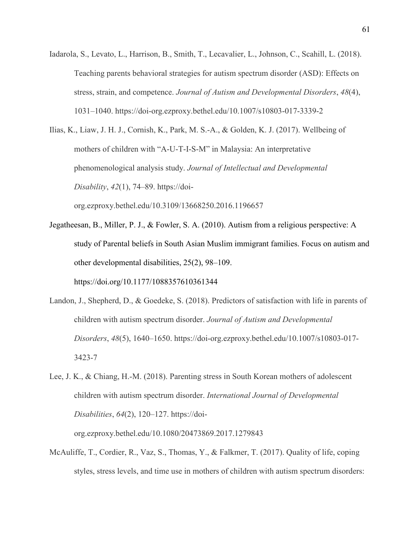Iadarola, S., Levato, L., Harrison, B., Smith, T., Lecavalier, L., Johnson, C., Scahill, L. (2018). Teaching parents behavioral strategies for autism spectrum disorder (ASD): Effects on stress, strain, and competence. *Journal of Autism and Developmental Disorders*, *48*(4), 1031–1040. https://doi-org.ezproxy.bethel.edu/10.1007/s10803-017-3339-2

Ilias, K., Liaw, J. H. J., Cornish, K., Park, M. S.-A., & Golden, K. J. (2017). Wellbeing of mothers of children with "A-U-T-I-S-M" in Malaysia: An interpretative phenomenological analysis study. *Journal of Intellectual and Developmental Disability*, *42*(1), 74–89. https://doiorg.ezproxy.bethel.edu/10.3109/13668250.2016.1196657

- Jegatheesan, B., Miller, P. J., & Fowler, S. A. (2010). Autism from a religious perspective: A study of Parental beliefs in South Asian Muslim immigrant families. Focus on autism and other developmental disabilities, 25(2), 98–109. https://doi.org/10.1177/1088357610361344
- Landon, J., Shepherd, D., & Goedeke, S. (2018). Predictors of satisfaction with life in parents of children with autism spectrum disorder. *Journal of Autism and Developmental Disorders*, *48*(5), 1640–1650. https://doi-org.ezproxy.bethel.edu/10.1007/s10803-017- 3423-7
- Lee, J. K., & Chiang, H.-M. (2018). Parenting stress in South Korean mothers of adolescent children with autism spectrum disorder. *International Journal of Developmental Disabilities*, *64*(2), 120–127. https://doiorg.ezproxy.bethel.edu/10.1080/20473869.2017.1279843
- McAuliffe, T., Cordier, R., Vaz, S., Thomas, Y., & Falkmer, T. (2017). Quality of life, coping styles, stress levels, and time use in mothers of children with autism spectrum disorders: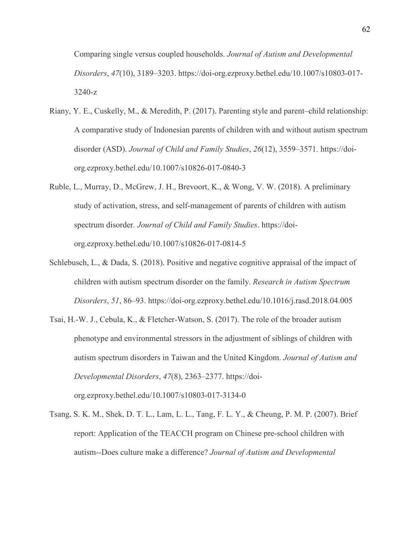Comparing single versus coupled households. *Journal of Autism and Developmental Disorders*, *47*(10), 3189–3203. https://doi-org.ezproxy.bethel.edu/10.1007/s10803-017- 3240-z

- Riany, Y. E., Cuskelly, M., & Meredith, P. (2017). Parenting style and parent–child relationship: A comparative study of Indonesian parents of children with and without autism spectrum disorder (ASD). *Journal of Child and Family Studies*, *26*(12), 3559–3571. https://doiorg.ezproxy.bethel.edu/10.1007/s10826-017-0840-3
- Ruble, L., Murray, D., McGrew, J. H., Brevoort, K., & Wong, V. W. (2018). A preliminary study of activation, stress, and self-management of parents of children with autism spectrum disorder. *Journal of Child and Family Studies*. https://doiorg.ezproxy.bethel.edu/10.1007/s10826-017-0814-5
- Schlebusch, L., & Dada, S. (2018). Positive and negative cognitive appraisal of the impact of children with autism spectrum disorder on the family. *Research in Autism Spectrum Disorders*, *51*, 86–93. https://doi-org.ezproxy.bethel.edu/10.1016/j.rasd.2018.04.005
- Tsai, H.-W. J., Cebula, K., & Fletcher-Watson, S. (2017). The role of the broader autism phenotype and environmental stressors in the adjustment of siblings of children with autism spectrum disorders in Taiwan and the United Kingdom. *Journal of Autism and Developmental Disorders*, *47*(8), 2363–2377. https://doiorg.ezproxy.bethel.edu/10.1007/s10803-017-3134-0
- Tsang, S. K. M., Shek, D. T. L., Lam, L. L., Tang, F. L. Y., & Cheung, P. M. P. (2007). Brief report: Application of the TEACCH program on Chinese pre-school children with autism--Does culture make a difference? *Journal of Autism and Developmental*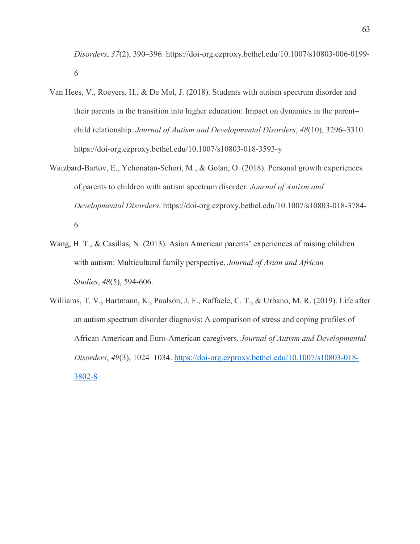*Disorders*, *37*(2), 390–396. https://doi-org.ezproxy.bethel.edu/10.1007/s10803-006-0199- 6

- Van Hees, V., Roeyers, H., & De Mol, J. (2018). Students with autism spectrum disorder and their parents in the transition into higher education: Impact on dynamics in the parent– child relationship. *Journal of Autism and Developmental Disorders*, *48*(10), 3296–3310. https://doi-org.ezproxy.bethel.edu/10.1007/s10803-018-3593-y
- Waizbard-Bartov, E., Yehonatan-Schori, M., & Golan, O. (2018). Personal growth experiences of parents to children with autism spectrum disorder. *Journal of Autism and Developmental Disorders*. https://doi-org.ezproxy.bethel.edu/10.1007/s10803-018-3784- 6
- Wang, H. T., & Casillas, N. (2013). Asian American parents' experiences of raising children with autism: Multicultural family perspective. *Journal of Asian and African Studies*, *48*(5), 594-606.
- Williams, T. V., Hartmann, K., Paulson, J. F., Raffaele, C. T., & Urbano, M. R. (2019). Life after an autism spectrum disorder diagnosis: A comparison of stress and coping profiles of African American and Euro-American caregivers. *Journal of Autism and Developmental Disorders*, *49*(3), 1024–1034. [https://doi-org.ezproxy.bethel.edu/10.1007/s10803-018-](https://doi-org.ezproxy.bethel.edu/10.1007/s10803-018-3802-8) [3802-8](https://doi-org.ezproxy.bethel.edu/10.1007/s10803-018-3802-8)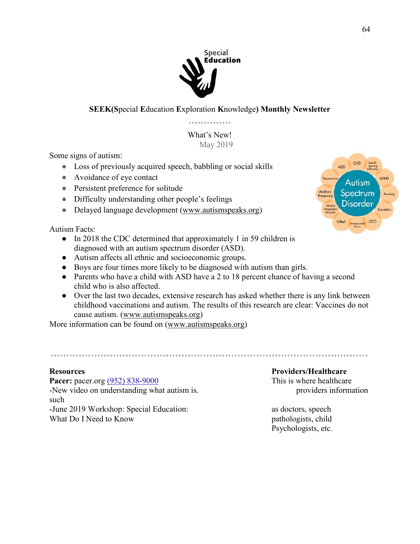

# **SEEK(S**pecial **E**ducation **E**xploration **K**nowledge**) Monthly Newsletter**

What's New! May 2019

Some signs of autism:

- Loss of previously acquired speech, babbling or social skills
- Avoidance of eye contact
- Persistent preference for solitude
- Difficulty understanding other people's feelings
- Delayed language development [\(www.autismspeaks.org\)](http://www.autismspeaks.org/)

Autism Facts:

- In 2018 the CDC determined that approximately 1 in 59 children is diagnosed with an autism spectrum disorder (ASD).
- Autism affects all ethnic and socioeconomic groups.
- Boys are four times more likely to be diagnosed with autism than girls.
- Parents who have a child with ASD have a 2 to 18 percent chance of having a second child who is also affected.
- Over the last two decades, extensive research has asked whether there is any link between childhood vaccinations and autism. The results of this research are clear: Vaccines do not cause autism. [\(www.autismspeaks.org\)](http://www.autismspeaks.org/)

More information can be found on [\(www.autismspeaks.org\)](http://www.autismspeaks.org/)

**Pacer:** pacer.org [\(952\) 838-9000](https://www.google.com/search?safe=strict&rlz=1C1GCEA_enUS809US809&biw=1366&bih=662&ei=KdHZXPTyLtbz-gTVj7GwBQ&q=pacer&oq=pacer&gs_l=psy-ab.3..0l10.1045.1412..1529...0.0..0.121.543.1j4......0....1..gws-wiz.......0i71j0i67j0i131.CWoxYPayhOI) This is where healthcare -New video on understanding what autism is. providers information such -June 2019 Workshop: Special Education: as doctors, speech What Do I Need to Know pathologists, child

### **Resources Providers/Healthcare**

Psychologists, etc.